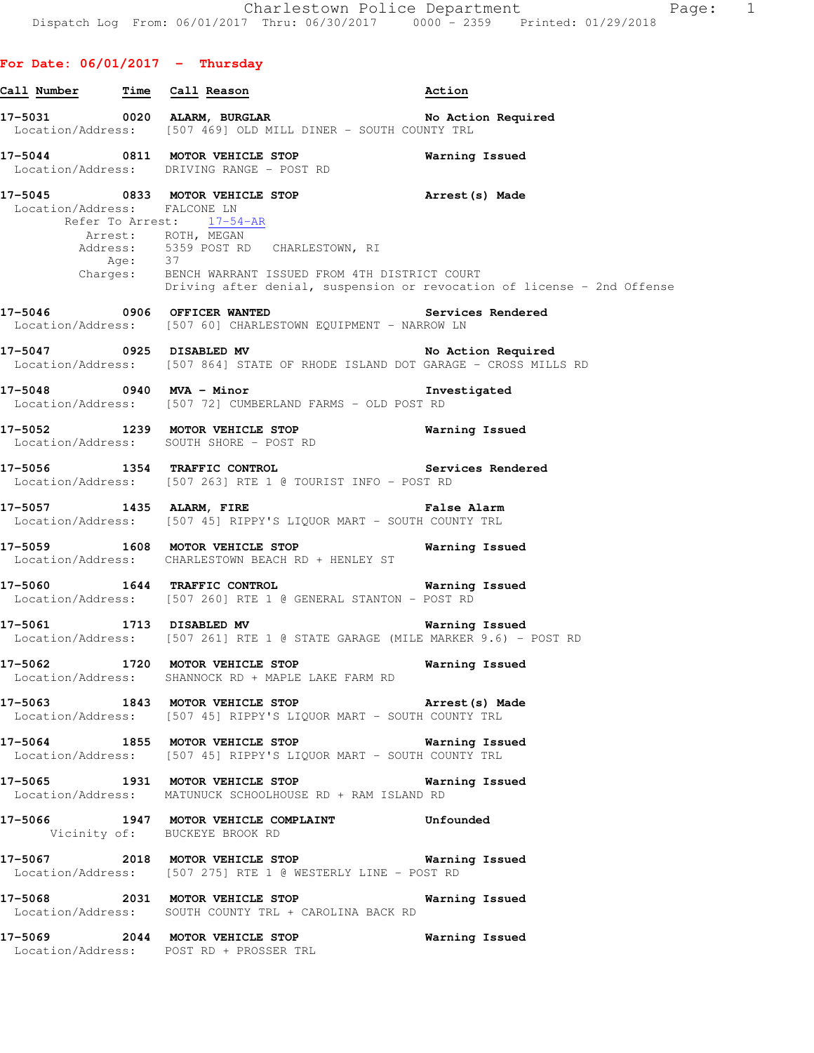**For Date: 06/01/2017 - Thursday**

**Call Number Time Call Reason Action 17-5031 0020 ALARM, BURGLAR No Action Required**  Location/Address: [507 469] OLD MILL DINER - SOUTH COUNTY TRL **17-5044 0811 MOTOR VEHICLE STOP Warning Issued**  Location/Address: DRIVING RANGE - POST RD **17-5045 0833 MOTOR VEHICLE STOP Arrest(s) Made**  Location/Address: FALCONE LN Refer To Arrest: 17-54-AR Arrest: ROTH, MEGAN Address: 5359 POST RD CHARLESTOWN, RI<br>Age: 37 Age: 37 Charges: BENCH WARRANT ISSUED FROM 4TH DISTRICT COURT Driving after denial, suspension or revocation of license - 2nd Offense **17-5046 0906 OFFICER WANTED Services Rendered**  Location/Address: [507 60] CHARLESTOWN EQUIPMENT - NARROW LN **17-5047 0925 DISABLED MV No Action Required**  Location/Address: [507 864] STATE OF RHODE ISLAND DOT GARAGE - CROSS MILLS RD **17-5048 0940 MVA - Minor Investigated**  Location/Address: [507 72] CUMBERLAND FARMS - OLD POST RD **17-5052 1239 MOTOR VEHICLE STOP Warning Issued**  Location/Address: SOUTH SHORE - POST RD **17-5056 1354 TRAFFIC CONTROL Services Rendered**  Location/Address: [507 263] RTE 1 @ TOURIST INFO - POST RD **17-5057 1435 ALARM, FIRE False Alarm**  Location/Address: [507 45] RIPPY'S LIQUOR MART - SOUTH COUNTY TRL **17-5059 1608 MOTOR VEHICLE STOP Warning Issued**  Location/Address: CHARLESTOWN BEACH RD + HENLEY ST **17-5060 1644 TRAFFIC CONTROL Warning Issued**  Location/Address: [507 260] RTE 1 @ GENERAL STANTON - POST RD **17-5061 1713 DISABLED MV Warning Issued**  Location/Address: [507 261] RTE 1 @ STATE GARAGE (MILE MARKER 9.6) - POST RD **17-5062 1720 MOTOR VEHICLE STOP Warning Issued**  Location/Address: SHANNOCK RD + MAPLE LAKE FARM RD **17-5063 1843 MOTOR VEHICLE STOP Arrest(s) Made**  Location/Address: [507 45] RIPPY'S LIQUOR MART - SOUTH COUNTY TRL **17-5064 1855 MOTOR VEHICLE STOP Warning Issued**  Location/Address: [507 45] RIPPY'S LIQUOR MART - SOUTH COUNTY TRL **17-5065 1931 MOTOR VEHICLE STOP Warning Issued**  Location/Address: MATUNUCK SCHOOLHOUSE RD + RAM ISLAND RD **17-5066 1947 MOTOR VEHICLE COMPLAINT Unfounded**  Vicinity of: BUCKEYE BROOK RD **17-5067 2018 MOTOR VEHICLE STOP Warning Issued**  Location/Address: [507 275] RTE 1 @ WESTERLY LINE - POST RD **17-5068 2031 MOTOR VEHICLE STOP Warning Issued**  Location/Address: SOUTH COUNTY TRL + CAROLINA BACK RD **17-5069 2044 MOTOR VEHICLE STOP Warning Issued**  Location/Address: POST RD + PROSSER TRL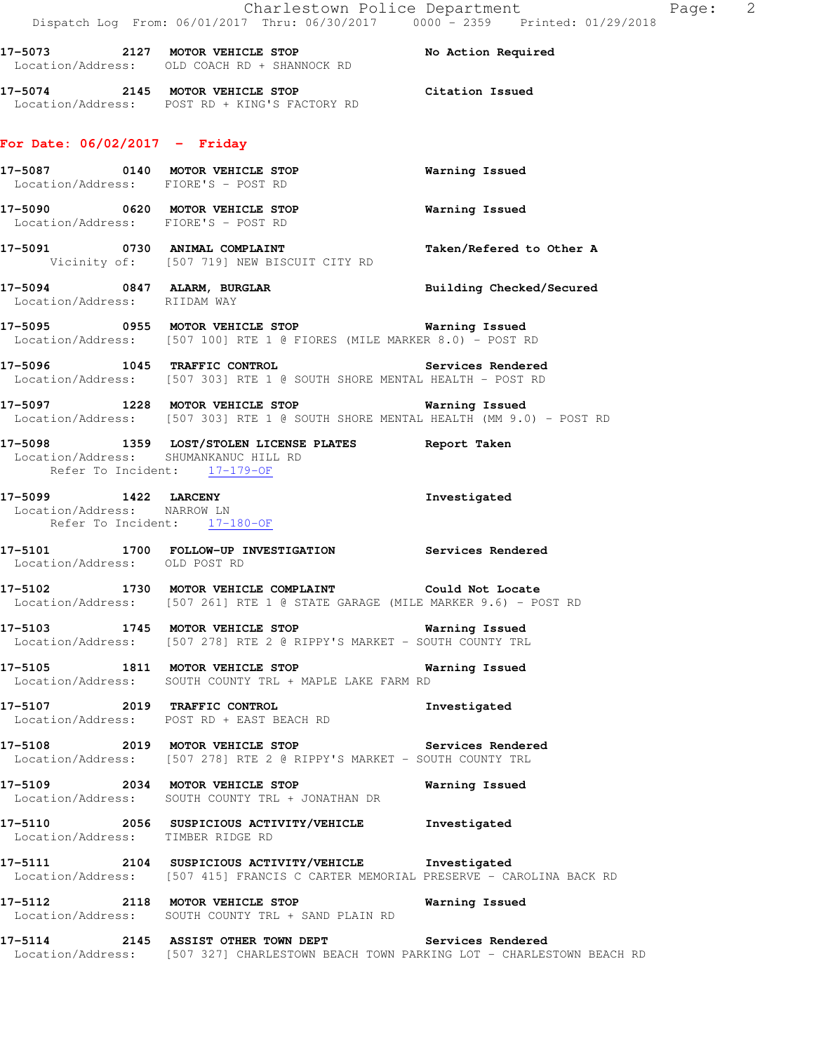17-5073 2127 MOTOR VEHICLE STOP No Action Required Location/Address: OLD COACH RD + SHANNOCK RD

**17-5074 2145 MOTOR VEHICLE STOP Citation Issued**  Location/Address: POST RD + KING'S FACTORY RD

## **For Date: 06/02/2017 - Friday**

|                               | 17-5087 0140 MOTOR VEHICLE STOP<br>Location/Address: FIORE'S - POST RD                                                                         | <b>Warning Issued</b>    |
|-------------------------------|------------------------------------------------------------------------------------------------------------------------------------------------|--------------------------|
|                               | 17-5090 0620 MOTOR VEHICLE STOP 6 Warning Issued<br>Location/Address: FIORE'S - POST RD                                                        |                          |
|                               | 17-5091 0730 ANIMAL COMPLAINT<br>Vicinity of: [507 719] NEW BISCUIT CITY RD                                                                    | Taken/Refered to Other A |
|                               | 17-5094 0847 ALARM, BURGLAR<br>Location/Address: RIIDAM WAY                                                                                    | Building Checked/Secured |
|                               | 17-5095 0955 MOTOR VEHICLE STOP Warning Issued<br>Location/Address: [507 100] RTE 1 @ FIORES (MILE MARKER 8.0) - POST RD                       |                          |
|                               | 17-5096 1045 TRAFFIC CONTROL Services Rendered<br>Location/Address: [507 303] RTE 1 @ SOUTH SHORE MENTAL HEALTH - POST RD                      | <b>Services Rendered</b> |
|                               | 17-5097 1228 MOTOR VEHICLE STOP Warning Issued<br>Location/Address: [507 303] RTE 1 @ SOUTH SHORE MENTAL HEALTH (MM 9.0) - POST RD             |                          |
| Refer To Incident: 17-179-OF  | 17-5098 1359 LOST/STOLEN LICENSE PLATES Report Taken<br>Location/Address: SHUMANKANUC HILL RD                                                  |                          |
| 17-5099 1422 LARCENY          | Location/Address: NARROW LN<br>Refer To Incident: 17-180-OF                                                                                    | Investigated             |
| Location/Address: OLD POST RD | 17-5101 1700 FOLLOW-UP INVESTIGATION Services Rendered                                                                                         |                          |
|                               | 17-5102 1730 MOTOR VEHICLE COMPLAINT Could Not Locate<br>Location/Address: [507 261] RTE 1 @ STATE GARAGE (MILE MARKER 9.6) - POST RD          |                          |
|                               | 17-5103 1745 MOTOR VEHICLE STOP Warning Issued<br>Location/Address: [507 278] RTE 2 @ RIPPY'S MARKET - SOUTH COUNTY TRL                        |                          |
|                               | 17-5105 1811 MOTOR VEHICLE STOP<br>Location/Address: SOUTH COUNTY TRL + MAPLE LAKE FARM RD                                                     | Warning Issued           |
|                               | 17-5107 2019 TRAFFIC CONTROL<br>Location/Address: POST RD + EAST BEACH RD                                                                      | Investigated             |
|                               | Location/Address: [507 278] RTE 2 @ RIPPY'S MARKET - SOUTH COUNTY TRL                                                                          |                          |
|                               | 17-5109 2034 MOTOR VEHICLE STOP<br>Location/Address: SOUTH COUNTY TRL + JONATHAN DR                                                            | Warning Issued           |
|                               | 17-5110 2056 SUSPICIOUS ACTIVITY/VEHICLE<br>Location/Address: TIMBER RIDGE RD                                                                  | Investigated             |
|                               | 17-5111 2104 SUSPICIOUS ACTIVITY/VEHICLE Investigated<br>Location/Address: [507 415] FRANCIS C CARTER MEMORIAL PRESERVE - CAROLINA BACK RD     |                          |
|                               | 17-5112 2118 MOTOR VEHICLE STOP<br>Location/Address: SOUTH COUNTY TRL + SAND PLAIN RD                                                          | Warning Issued           |
|                               | 17-5114 2145 ASSIST OTHER TOWN DEPT Services Rendered<br>Location/Address: [507 327] CHARLESTOWN BEACH TOWN PARKING LOT - CHARLESTOWN BEACH RD |                          |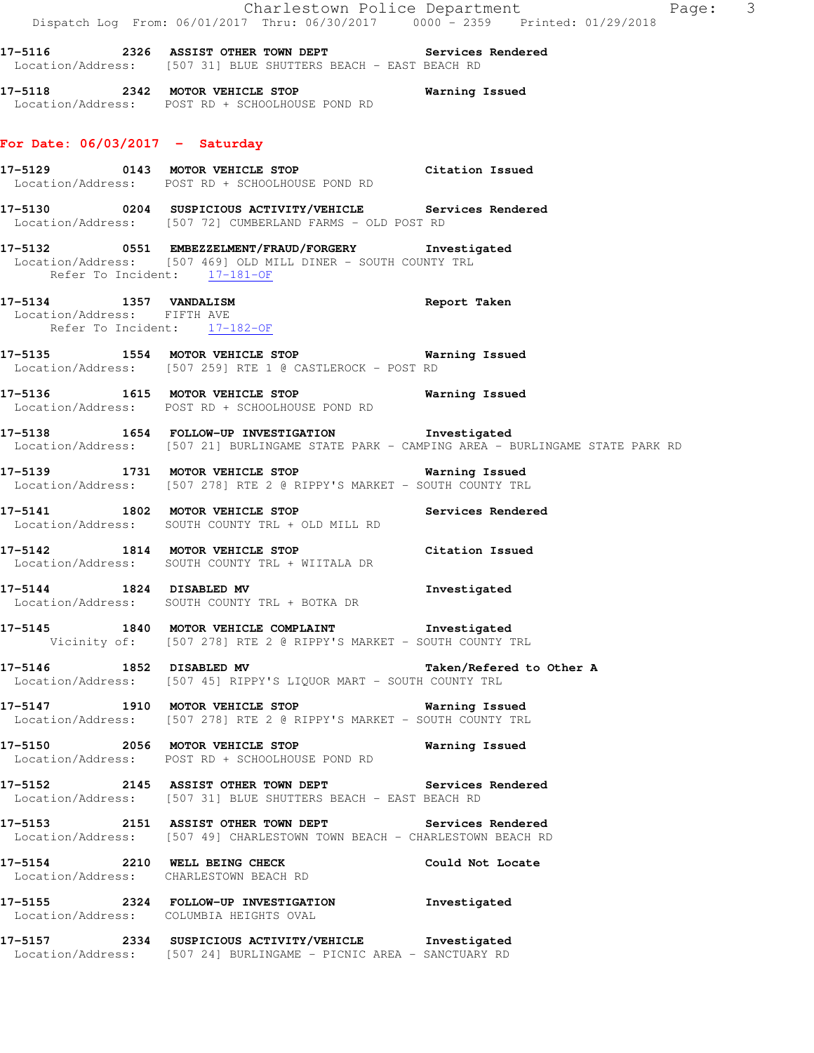|                                                       | Dispatch Log From: 06/01/2017 Thru: 06/30/2017 0000 <sup>-</sup> 2359 Printed: 01/29/2018                                                       | Charlestown Police Department<br>Page: 3 |  |
|-------------------------------------------------------|-------------------------------------------------------------------------------------------------------------------------------------------------|------------------------------------------|--|
|                                                       | Location/Address: [507 31] BLUE SHUTTERS BEACH - EAST BEACH RD                                                                                  |                                          |  |
|                                                       | 17-5118 2342 MOTOR VEHICLE STOP<br>Location/Address: POST RD + SCHOOLHOUSE POND RD                                                              | Warning Issued                           |  |
| For Date: $06/03/2017 -$ Saturday                     |                                                                                                                                                 |                                          |  |
|                                                       | 17-5129 0143 MOTOR VEHICLE STOP Citation Issued<br>Location/Address: POST RD + SCHOOLHOUSE POND RD                                              |                                          |  |
|                                                       | 17-5130 0204 SUSPICIOUS ACTIVITY/VEHICLE Services Rendered<br>Location/Address: [507 72] CUMBERLAND FARMS - OLD POST RD                         |                                          |  |
| Refer To Incident: 17-181-OF                          | 17-5132 0551 EMBEZZELMENT/FRAUD/FORGERY Investigated<br>Location/Address: [507 469] OLD MILL DINER - SOUTH COUNTY TRL                           |                                          |  |
| 17-5134 1357 VANDALISM<br>Location/Address: FIFTH AVE | Refer To Incident: 17-182-OF                                                                                                                    | Report Taken                             |  |
|                                                       | 17-5135 1554 MOTOR VEHICLE STOP 6 Warning Issued<br>Location/Address: [507 259] RTE 1 @ CASTLEROCK - POST RD                                    |                                          |  |
|                                                       | 17-5136 1615 MOTOR VEHICLE STOP<br>Location/Address: POST RD + SCHOOLHOUSE POND RD                                                              | Warning Issued                           |  |
|                                                       | 17-5138 1654 FOLLOW-UP INVESTIGATION Investigated<br>Location/Address: [507 21] BURLINGAME STATE PARK - CAMPING AREA - BURLINGAME STATE PARK RD |                                          |  |
|                                                       | 17-5139 1731 MOTOR VEHICLE STOP 6 Warning Issued<br>Location/Address: [507 278] RTE 2 @ RIPPY'S MARKET - SOUTH COUNTY TRL                       |                                          |  |
|                                                       | 17-5141 1802 MOTOR VEHICLE STOP Services Rendered<br>Location/Address: SOUTH COUNTY TRL + OLD MILL RD                                           |                                          |  |
|                                                       | 17-5142 1814 MOTOR VEHICLE STOP<br>Location/Address: SOUTH COUNTY TRL + WIITALA DR                                                              | Citation Issued                          |  |
| 17-5144 1824 DISABLED MV                              | Location/Address: SOUTH COUNTY TRL + BOTKA DR                                                                                                   | Investigated                             |  |
|                                                       | 17-5145 1840 MOTOR VEHICLE COMPLAINT 1nvestigated<br>Vicinity of: [507 278] RTE 2 @ RIPPY'S MARKET - SOUTH COUNTY TRL                           |                                          |  |
|                                                       | 17-5146 1852 DISABLED MV<br>Location/Address: [507 45] RIPPY'S LIQUOR MART - SOUTH COUNTY TRL                                                   | Taken/Refered to Other A                 |  |
|                                                       | 17-5147 1910 MOTOR VEHICLE STOP <b>WATER</b> Warning Issued<br>Location/Address: [507 278] RTE 2 @ RIPPY'S MARKET - SOUTH COUNTY TRL            |                                          |  |
|                                                       | Location/Address: POST RD + SCHOOLHOUSE POND RD                                                                                                 |                                          |  |
|                                                       | 17-5152 2145 ASSIST OTHER TOWN DEPT Services Rendered<br>Location/Address: [507 31] BLUE SHUTTERS BEACH - EAST BEACH RD                         |                                          |  |
|                                                       | 17-5153 2151 ASSIST OTHER TOWN DEPT Services Rendered<br>Location/Address: [507 49] CHARLESTOWN TOWN BEACH - CHARLESTOWN BEACH RD               |                                          |  |
|                                                       | 17-5154 2210 WELL BEING CHECK Could Not Locate<br>Location/Address: CHARLESTOWN BEACH RD                                                        |                                          |  |
|                                                       | 17-5155 2324 FOLLOW-UP INVESTIGATION Investigated<br>Location/Address: COLUMBIA HEIGHTS OVAL                                                    |                                          |  |
|                                                       | 17-5157 2334 SUSPICIOUS ACTIVITY/VEHICLE Investigated<br>Location/Address: [507 24] BURLINGAME - PICNIC AREA - SANCTUARY RD                     |                                          |  |
|                                                       |                                                                                                                                                 |                                          |  |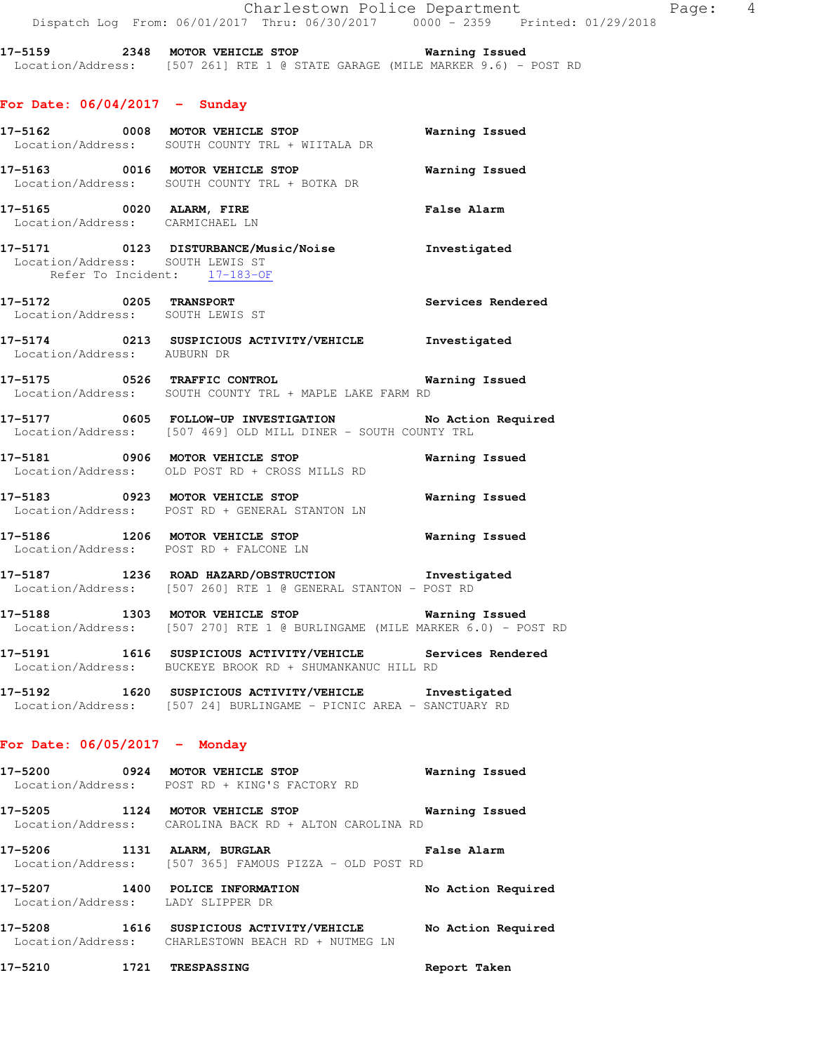Charlestown Police Department Fage: 4 Dispatch Log From: 06/01/2017 Thru: 06/30/2017 0000 - 2359 Printed: 01/29/2018

**17-5159 2348 MOTOR VEHICLE STOP Warning Issued**  Location/Address: [507 261] RTE 1 @ STATE GARAGE (MILE MARKER 9.6) - POST RD

# **For Date: 06/04/2017 - Sunday**

|                                 | 17-5162 0008 MOTOR VEHICLE STOP<br>Location/Address: SOUTH COUNTY TRL + WIITALA DR                                             | Warning Issued        |
|---------------------------------|--------------------------------------------------------------------------------------------------------------------------------|-----------------------|
|                                 | 17-5163 0016 MOTOR VEHICLE STOP 6 Warning Issued<br>Location/Address: SOUTH COUNTY TRL + BOTKA DR                              |                       |
|                                 | 17-5165 0020 ALARM, FIRE<br>Location/Address: CARMICHAEL LN                                                                    | <b>False Alarm</b>    |
|                                 | 17-5171 0123 DISTURBANCE/Music/Noise Investigated<br>Location/Address: SOUTH LEWIS ST<br>Refer To Incident: 17-183-OF          |                       |
|                                 | 17-5172 0205 TRANSPORT<br>Location/Address: SOUTH LEWIS ST                                                                     | Services Rendered     |
| Location/Address: AUBURN DR     | 17-5174 0213 SUSPICIOUS ACTIVITY/VEHICLE Investigated                                                                          |                       |
|                                 | 17-5175 0526 TRAFFIC CONTROL 17-5175 Warning Issued<br>Location/Address: SOUTH COUNTY TRL + MAPLE LAKE FARM RD                 |                       |
|                                 | 17-5177 0605 FOLLOW-UP INVESTIGATION No Action Required<br>Location/Address: [507 469] OLD MILL DINER - SOUTH COUNTY TRL       |                       |
|                                 | 17-5181 0906 MOTOR VEHICLE STOP<br>Location/Address: OLD POST RD + CROSS MILLS RD                                              | <b>Warning Issued</b> |
|                                 | 17-5183 0923 MOTOR VEHICLE STOP<br>Location/Address: POST RD + GENERAL STANTON LN                                              | Warning Issued        |
|                                 | 17-5186 1206 MOTOR VEHICLE STOP <b>Warning Issued</b><br>Location/Address: POST RD + FALCONE LN                                |                       |
|                                 | 17-5187 1236 ROAD HAZARD/OBSTRUCTION Investigated<br>Location/Address: [507 260] RTE 1 @ GENERAL STANTON - POST RD             |                       |
|                                 | 17-5188 1303 MOTOR VEHICLE STOP 6 Warning Issued<br>Location/Address: [507 270] RTE 1 @ BURLINGAME (MILE MARKER 6.0) - POST RD |                       |
|                                 | 17-5191 1616 SUSPICIOUS ACTIVITY/VEHICLE Services Rendered<br>Location/Address: BUCKEYE BROOK RD + SHUMANKANUC HILL RD         |                       |
|                                 | 17-5192 1620 SUSPICIOUS ACTIVITY/VEHICLE Investigated<br>Location/Address: [507 24] BURLINGAME - PICNIC AREA - SANCTUARY RD    |                       |
| For Date: $06/05/2017$ - Monday |                                                                                                                                |                       |
|                                 | 17-5200 0924 MOTOR VEHICLE STOP<br>Location/Address: POST RD + KING'S FACTORY RD                                               | Warning Issued        |
|                                 | 17-5205 1124 MOTOR VEHICLE STOP 6 Warning Issued<br>Location/Address: CAROLINA BACK RD + ALTON CAROLINA RD                     |                       |
|                                 | 17-5206 1131 ALARM, BURGLAR<br>Location/Address: [507 365] FAMOUS PIZZA - OLD POST RD                                          | <b>False Alarm</b>    |
|                                 | 17-5207 1400 POLICE INFORMATION<br>Location/Address: LADY SLIPPER DR                                                           | No Action Required    |
|                                 | 17-5208 1616 SUSPICIOUS ACTIVITY/VEHICLE No Action Required<br>Location/Address: CHARLESTOWN BEACH RD + NUTMEG LN              |                       |
|                                 | 17-5210 1721 TRESPASSING                                                                                                       | Report Taken          |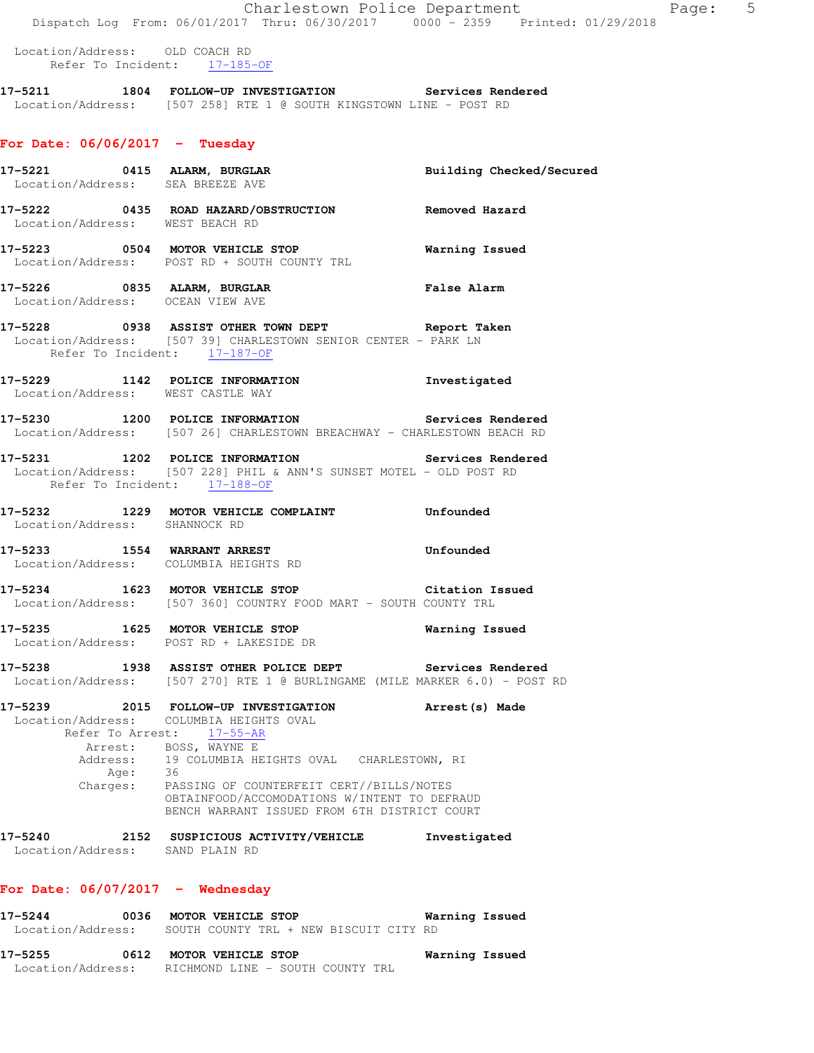Location/Address: OLD COACH RD Refer To Incident: 17-185-OF

**17-5211 1804 FOLLOW-UP INVESTIGATION Services Rendered**  Location/Address: [507 258] RTE 1 @ SOUTH KINGSTOWN LINE - POST RD

## **For Date: 06/06/2017 - Tuesday**

|                              |      | 17-5221 0415 ALARM, BURGLAR Building Checked/Secured<br>Location/Address: SEA BREEZE AVE                                                                 |              |
|------------------------------|------|----------------------------------------------------------------------------------------------------------------------------------------------------------|--------------|
|                              |      | 17-5222 0435 ROAD HAZARD/OBSTRUCTION Removed Hazard Location/Address: WEST BEACH RD                                                                      |              |
|                              |      | 17-5223 0504 MOTOR VEHICLE STOP Warning Issued<br>Location/Address: POST RD + SOUTH COUNTY TRL                                                           |              |
|                              |      | 17-5226 0835 ALARM, BURGLAR False Alarm Location/Address: OCEAN VIEW AVE                                                                                 |              |
|                              |      | 17-5228 0938 ASSIST OTHER TOWN DEPT Report Taken<br>Location/Address: [507 39] CHARLESTOWN SENIOR CENTER - PARK LN<br>Refer To Incident: 17-187-OF       |              |
|                              |      | 17-5229 1142 POLICE INFORMATION 1nvestigated<br>Location/Address: WEST CASTLE WAY                                                                        |              |
|                              |      | 17-5230 1200 POLICE INFORMATION Services Rendered<br>Location/Address: [507 26] CHARLESTOWN BREACHWAY - CHARLESTOWN BEACH RD                             |              |
|                              |      | 17-5231 1202 POLICE INFORMATION Services Rendered<br>Location/Address: [507 228] PHIL & ANN'S SUNSET MOTEL - OLD POST RD<br>Refer To Incident: 17-188-OF |              |
|                              |      | 17-5232 1229 MOTOR VEHICLE COMPLAINT Unfounded<br>Location/Address: SHANNOCK RD                                                                          |              |
|                              |      | Location/Address: COLUMBIA HEIGHTS RD                                                                                                                    |              |
|                              |      | 17-5234 1623 MOTOR VEHICLE STOP Citation Issued<br>Location/Address: [507 360] COUNTRY FOOD MART - SOUTH COUNTY TRL                                      |              |
|                              |      | 17-5235 1625 MOTOR VEHICLE STOP <b>Warning Issued</b><br>Location/Address: POST RD + LAKESIDE DR                                                         |              |
|                              |      | 17-5238 1938 ASSIST OTHER POLICE DEPT Services Rendered<br>Location/Address: [507 270] RTE 1 @ BURLINGAME (MILE MARKER 6.0) - POST RD                    |              |
|                              |      | 17-5239 2015 FOLLOW-UP INVESTIGATION Arrest(s) Made<br>Location/Address: COLUMBIA HEIGHTS OVAL<br>Refer To Arrest: 17-55-AR                              |              |
| Address:                     | Age: | Arrest: BOSS, WAYNE E<br>19 COLUMBIA HEIGHTS OVAL CHARLESTOWN, RI<br>36                                                                                  |              |
| Charges:                     |      | PASSING OF COUNTERFEIT CERT//BILLS/NOTES<br>OBTAINFOOD/ACCOMODATIONS W/INTENT TO DEFRAUD<br>BENCH WARRANT ISSUED FROM 6TH DISTRICT COURT                 |              |
| 17-5240<br>Location/Address: |      | 2152 SUSPICIOUS ACTIVITY/VEHICLE<br>SAND PLAIN RD                                                                                                        | Investigated |
| For Date: $06/07/2017 -$     |      | Wednesday                                                                                                                                                |              |

**17-5244 0036 MOTOR VEHICLE STOP Warning Issued**  Location/Address: SOUTH COUNTY TRL + NEW BISCUIT CITY RD

**17-5255 0612 MOTOR VEHICLE STOP Warning Issued**  Location/Address: RICHMOND LINE - SOUTH COUNTY TRL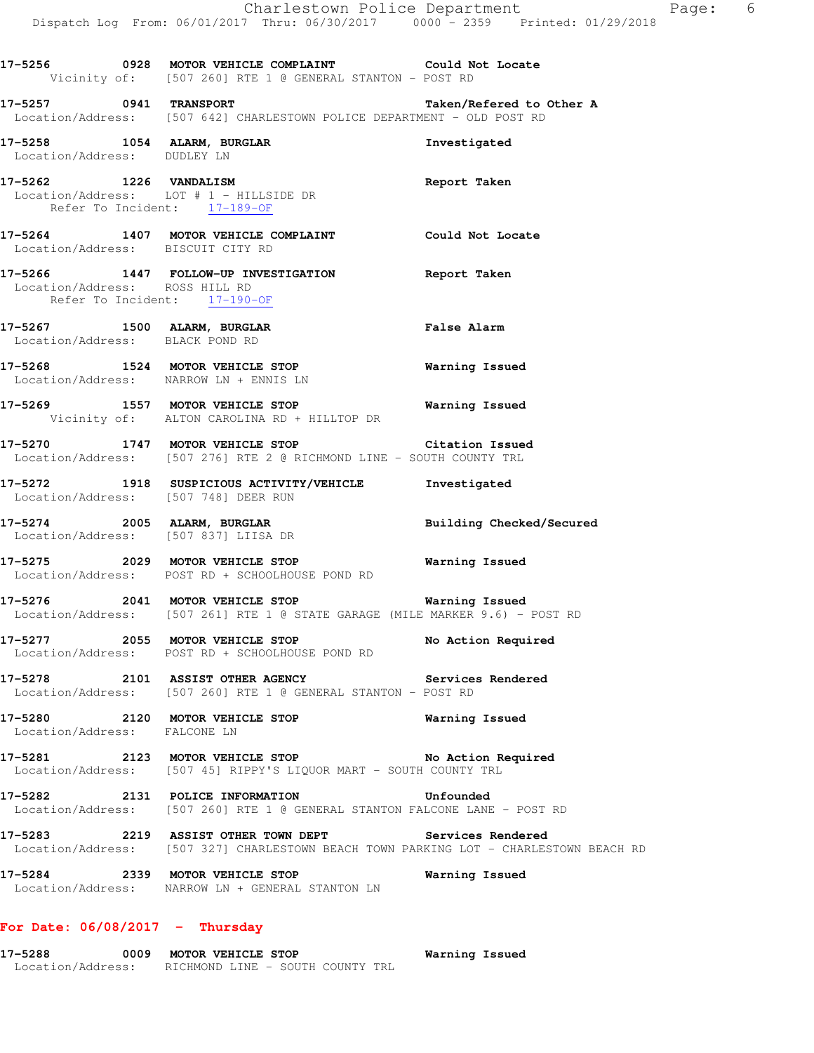|                                                                | 17-5256 0928 MOTOR VEHICLE COMPLAINT Could Not Locate<br>Vicinity of: [507 260] RTE 1 @ GENERAL STANTON - POST RD                              |                                 |
|----------------------------------------------------------------|------------------------------------------------------------------------------------------------------------------------------------------------|---------------------------------|
| 17-5257 0941 TRANSPORT                                         | Location/Address: [507 642] CHARLESTOWN POLICE DEPARTMENT - OLD POST RD                                                                        | Taken/Refered to Other A        |
| 17-5258 1054 ALARM, BURGLAR<br>Location/Address: DUDLEY LN     |                                                                                                                                                | Investigated                    |
| 17-5262 1226 VANDALISM<br>Refer To Incident: 17-189-OF         | Location/Address: LOT # 1 - HILLSIDE DR                                                                                                        | Report Taken                    |
| Location/Address: BISCUIT CITY RD                              | 17-5264 1407 MOTOR VEHICLE COMPLAINT Could Not Locate                                                                                          |                                 |
| Location/Address: ROSS HILL RD<br>Refer To Incident: 17-190-OF | 17-5266 1447 FOLLOW-UP INVESTIGATION Report Taken                                                                                              |                                 |
| 17-5267 1500 ALARM, BURGLAR<br>Location/Address: BLACK POND RD |                                                                                                                                                | False Alarm                     |
| Location/Address: NARROW LN + ENNIS LN                         | 17-5268 1524 MOTOR VEHICLE STOP 6 Warning Issued                                                                                               |                                 |
|                                                                | 17-5269 1557 MOTOR VEHICLE STOP 17-5269 Warning Issued<br>Vicinity of: ALTON CAROLINA RD + HILLTOP DR                                          |                                 |
|                                                                | 17-5270 1747 MOTOR VEHICLE STOP Citation Issued<br>Location/Address: [507 276] RTE 2 @ RICHMOND LINE - SOUTH COUNTY TRL                        |                                 |
| Location/Address: [507 748] DEER RUN                           | 17-5272 1918 SUSPICIOUS ACTIVITY/VEHICLE 1nvestigated                                                                                          |                                 |
| Location/Address: [507 837] LIISA DR                           | 17-5274 2005 ALARM, BURGLAR                                                                                                                    | <b>Building Checked/Secured</b> |
|                                                                | 17-5275 2029 MOTOR VEHICLE STOP 6 Warning Issued<br>Location/Address: POST RD + SCHOOLHOUSE POND RD                                            |                                 |
|                                                                | 17-5276 2041 MOTOR VEHICLE STOP <b>Warning Issued</b><br>Location/Address: [507 261] RTE 1 @ STATE GARAGE (MILE MARKER 9.6) - POST RD          |                                 |
|                                                                | 17-5277 2055 MOTOR VEHICLE STOP<br>Location/Address: POST RD + SCHOOLHOUSE POND RD                                                             | No Action Required              |
|                                                                | 17-5278 2101 ASSIST OTHER AGENCY Services Rendered<br>Location/Address: [507 260] RTE 1 @ GENERAL STANTON - POST RD                            |                                 |
| Location/Address: FALCONE LN                                   | 17-5280 2120 MOTOR VEHICLE STOP                                                                                                                | Warning Issued                  |
|                                                                | 17-5281 2123 MOTOR VEHICLE STOP No Action Required<br>Location/Address: [507 45] RIPPY'S LIQUOR MART - SOUTH COUNTY TRL                        |                                 |
|                                                                | 17-5282 2131 POLICE INFORMATION<br>Location/Address: [507 260] RTE 1 @ GENERAL STANTON FALCONE LANE - POST RD                                  | <b>Unfounded</b>                |
|                                                                | 17-5283 2219 ASSIST OTHER TOWN DEPT Services Rendered<br>Location/Address: [507 327] CHARLESTOWN BEACH TOWN PARKING LOT - CHARLESTOWN BEACH RD |                                 |
|                                                                | 17-5284 2339 MOTOR VEHICLE STOP<br>Location/Address: NARROW LN + GENERAL STANTON LN                                                            | <b>Warning Issued</b>           |

# **For Date: 06/08/2017 - Thursday**

| 17-5288           | 0009 | MOTOR VEHICLE STOP               |  |  | Warning Issued |  |
|-------------------|------|----------------------------------|--|--|----------------|--|
| Location/Address: |      | RICHMOND LINE - SOUTH COUNTY TRL |  |  |                |  |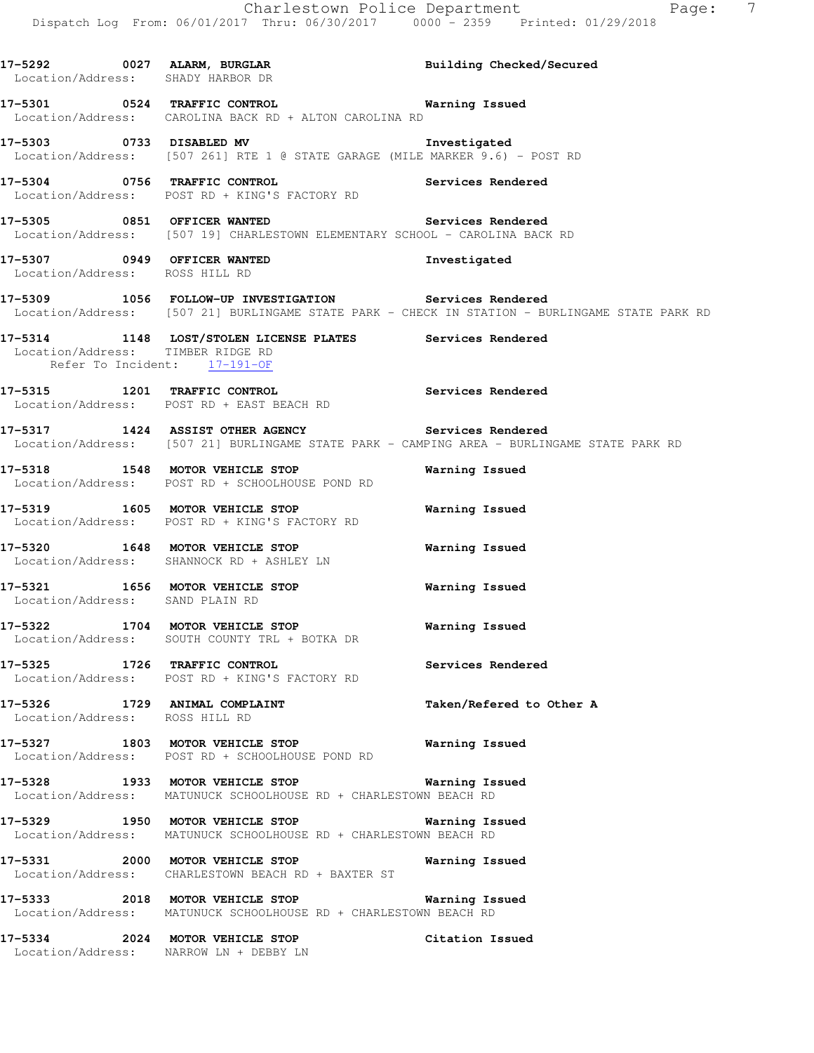**17-5292 0027 ALARM, BURGLAR Building Checked/Secured**  Location/Address: SHADY HARBOR DR **17-5301 0524 TRAFFIC CONTROL Warning Issued**  Location/Address: CAROLINA BACK RD + ALTON CAROLINA RD **17-5303 0733 DISABLED MV Investigated**  Location/Address: [507 261] RTE 1 @ STATE GARAGE (MILE MARKER 9.6) - POST RD **17-5304 0756 TRAFFIC CONTROL Services Rendered**  Location/Address: POST RD + KING'S FACTORY RD **17-5305 0851 OFFICER WANTED Services Rendered**  Location/Address: [507 19] CHARLESTOWN ELEMENTARY SCHOOL - CAROLINA BACK RD **17-5307 0949 OFFICER WANTED Investigated**  Location/Address: ROSS HILL RD **17-5309 1056 FOLLOW-UP INVESTIGATION Services Rendered**  Location/Address: [507 21] BURLINGAME STATE PARK - CHECK IN STATION - BURLINGAME STATE PARK RD **17-5314 1148 LOST/STOLEN LICENSE PLATES Services Rendered**  Location/Address: TIMBER RIDGE RD Refer To Incident: 17-191-OF **17-5315 1201 TRAFFIC CONTROL Services Rendered**  Location/Address: POST RD + EAST BEACH RD **17-5317 1424 ASSIST OTHER AGENCY Services Rendered**  Location/Address: [507 21] BURLINGAME STATE PARK - CAMPING AREA - BURLINGAME STATE PARK RD **17-5318 1548 MOTOR VEHICLE STOP Warning Issued**  Location/Address: POST RD + SCHOOLHOUSE POND RD **17-5319 1605 MOTOR VEHICLE STOP Warning Issued**  Location/Address: POST RD + KING'S FACTORY RD **17-5320 1648 MOTOR VEHICLE STOP Warning Issued**  Location/Address: SHANNOCK RD + ASHLEY LN **17-5321 1656 MOTOR VEHICLE STOP Warning Issued**  Location/Address: SAND PLAIN RD **17-5322 1704 MOTOR VEHICLE STOP Warning Issued**  Location/Address: SOUTH COUNTY TRL + BOTKA DR **17-5325 1726 TRAFFIC CONTROL Services Rendered**  Location/Address: POST RD + KING'S FACTORY RD **17-5326 1729 ANIMAL COMPLAINT Taken/Refered to Other A**  Location/Address: ROSS HILL RD **17-5327 1803 MOTOR VEHICLE STOP Warning Issued**  Location/Address: POST RD + SCHOOLHOUSE POND RD **17-5328 1933 MOTOR VEHICLE STOP Warning Issued**  Location/Address: MATUNUCK SCHOOLHOUSE RD + CHARLESTOWN BEACH RD **17-5329 1950 MOTOR VEHICLE STOP Warning Issued**  Location/Address: MATUNUCK SCHOOLHOUSE RD + CHARLESTOWN BEACH RD **17-5331 2000 MOTOR VEHICLE STOP Warning Issued**  Location/Address: CHARLESTOWN BEACH RD + BAXTER ST **17-5333 2018 MOTOR VEHICLE STOP Warning Issued**  Location/Address: MATUNUCK SCHOOLHOUSE RD + CHARLESTOWN BEACH RD **17-5334 2024 MOTOR VEHICLE STOP Citation Issued**  Location/Address: NARROW LN + DEBBY LN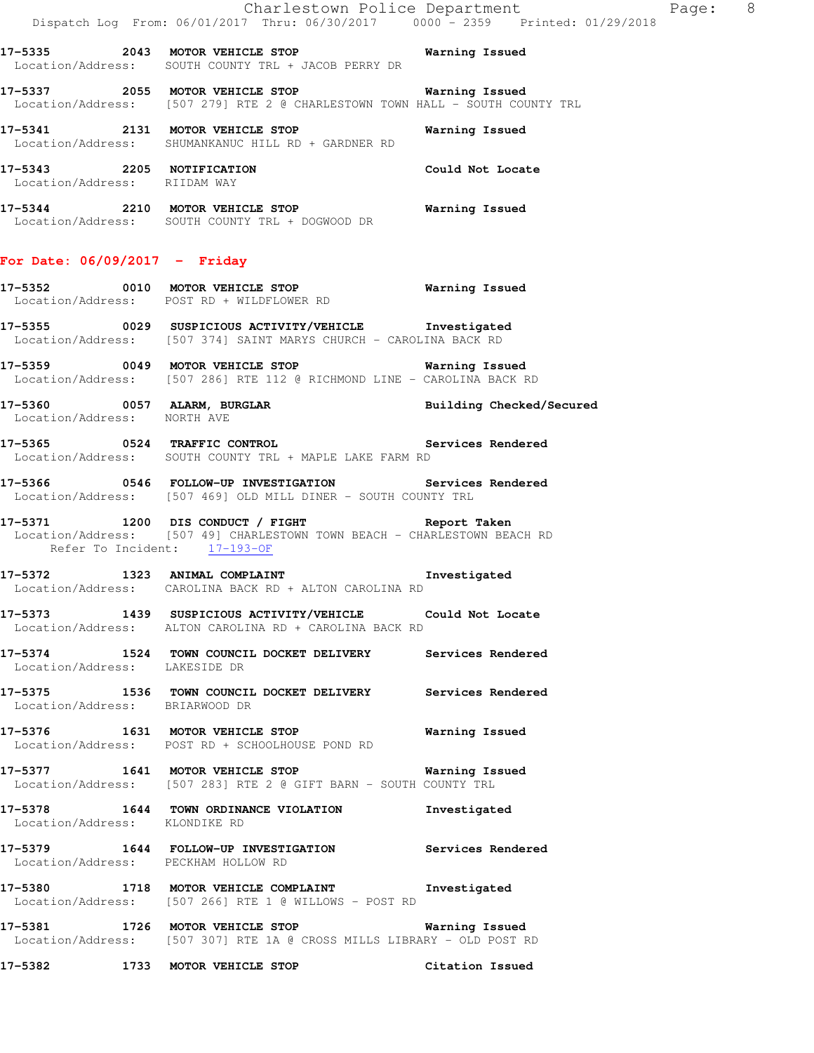|                                 |                                                                                                                                                                  | Charlestown Police Department | Page: 8 |  |
|---------------------------------|------------------------------------------------------------------------------------------------------------------------------------------------------------------|-------------------------------|---------|--|
|                                 | 17-5335 2043 MOTOR VEHICLE STOP 6 Narning Issued<br>Location/Address: SOUTH COUNTY TRL + JACOB PERRY DR                                                          |                               |         |  |
|                                 | 17-5337 2055 MOTOR VEHICLE STOP <b>Exam SET ALL STOP</b> Warning Issued<br>Location/Address: [507 279] RTE 2 @ CHARLESTOWN TOWN HALL - SOUTH COUNTY TRL          |                               |         |  |
|                                 | 17-5341 2131 MOTOR VEHICLE STOP <b>Warning Issued</b><br>Location/Address: SHUMANKANUC HILL RD + GARDNER RD                                                      |                               |         |  |
| Location/Address: RIIDAM WAY    | 17-5343 2205 NOTIFICATION                                                                                                                                        | Could Not Locate              |         |  |
|                                 | 17-5344 2210 MOTOR VEHICLE STOP<br>Location/Address: SOUTH COUNTY TRL + DOGWOOD DR                                                                               | <b>Warning Issued</b>         |         |  |
| For Date: $06/09/2017 -$ Friday |                                                                                                                                                                  |                               |         |  |
|                                 | 17-5352 0010 MOTOR VEHICLE STOP Warning Issued<br>Location/Address: POST RD + WILDFLOWER RD                                                                      |                               |         |  |
|                                 | 17-5355 0029 SUSPICIOUS ACTIVITY/VEHICLE 1nvestigated<br>Location/Address: [507 374] SAINT MARYS CHURCH - CAROLINA BACK RD                                       |                               |         |  |
|                                 | 17-5359 0049 MOTOR VEHICLE STOP <b>Warning Issued</b><br>Location/Address: [507 286] RTE 112 @ RICHMOND LINE - CAROLINA BACK RD                                  |                               |         |  |
| Location/Address: NORTH AVE     | 17-5360 0057 ALARM, BURGLAR <b>BURGLAR</b> Building Checked/Secured                                                                                              |                               |         |  |
|                                 | 17-5365 0524 TRAFFIC CONTROL 2000 Services Rendered<br>Location/Address: SOUTH COUNTY TRL + MAPLE LAKE FARM RD                                                   |                               |         |  |
|                                 | Location/Address: [507 469] OLD MILL DINER - SOUTH COUNTY TRL                                                                                                    |                               |         |  |
|                                 | 17-5371 1200 DIS CONDUCT / FIGHT TARE Report Taken<br>Location/Address: [507 49] CHARLESTOWN TOWN BEACH - CHARLESTOWN BEACH RD<br>Refer To Incident: $17-193-OF$ |                               |         |  |
|                                 | 17-5372 1323 ANIMAL COMPLAINT 17-5372 Investigated<br>Location/Address: CAROLINA BACK RD + ALTON CAROLINA RD                                                     |                               |         |  |
|                                 | 17-5373 1439 SUSPICIOUS ACTIVITY/VEHICLE Could Not Locate<br>Location/Address: ALTON CAROLINA RD + CAROLINA BACK RD                                              |                               |         |  |
| Location/Address: LAKESIDE DR   | 17-5374 1524 TOWN COUNCIL DOCKET DELIVERY Services Rendered                                                                                                      |                               |         |  |
| Location/Address: BRIARWOOD DR  | 17-5375 1536 TOWN COUNCIL DOCKET DELIVERY Services Rendered                                                                                                      |                               |         |  |
|                                 | 17-5376 1631 MOTOR VEHICLE STOP <b>Warning Issued</b><br>Location/Address: POST RD + SCHOOLHOUSE POND RD                                                         |                               |         |  |
|                                 | 17-5377 1641 MOTOR VEHICLE STOP 17-5377<br>Location/Address: [507 283] RTE 2 @ GIFT BARN - SOUTH COUNTY TRL                                                      |                               |         |  |
| Location/Address: KLONDIKE RD   | 17-5378 1644 TOWN ORDINANCE VIOLATION                                                                                                                            | Investigated                  |         |  |
|                                 | 17-5379 1644 FOLLOW-UP INVESTIGATION Services Rendered<br>Location/Address: PECKHAM HOLLOW RD                                                                    |                               |         |  |
|                                 | 17-5380 1718 MOTOR VEHICLE COMPLAINT Threstigated<br>Location/Address: [507 266] RTE 1 @ WILLOWS - POST RD                                                       |                               |         |  |
|                                 | 17-5381 1726 MOTOR VEHICLE STOP <b>Warning Issued</b><br>Location/Address: [507 307] RTE 1A @ CROSS MILLS LIBRARY - OLD POST RD                                  |                               |         |  |
|                                 | 17-5382 1733 MOTOR VEHICLE STOP                                                                                                                                  | Citation Issued               |         |  |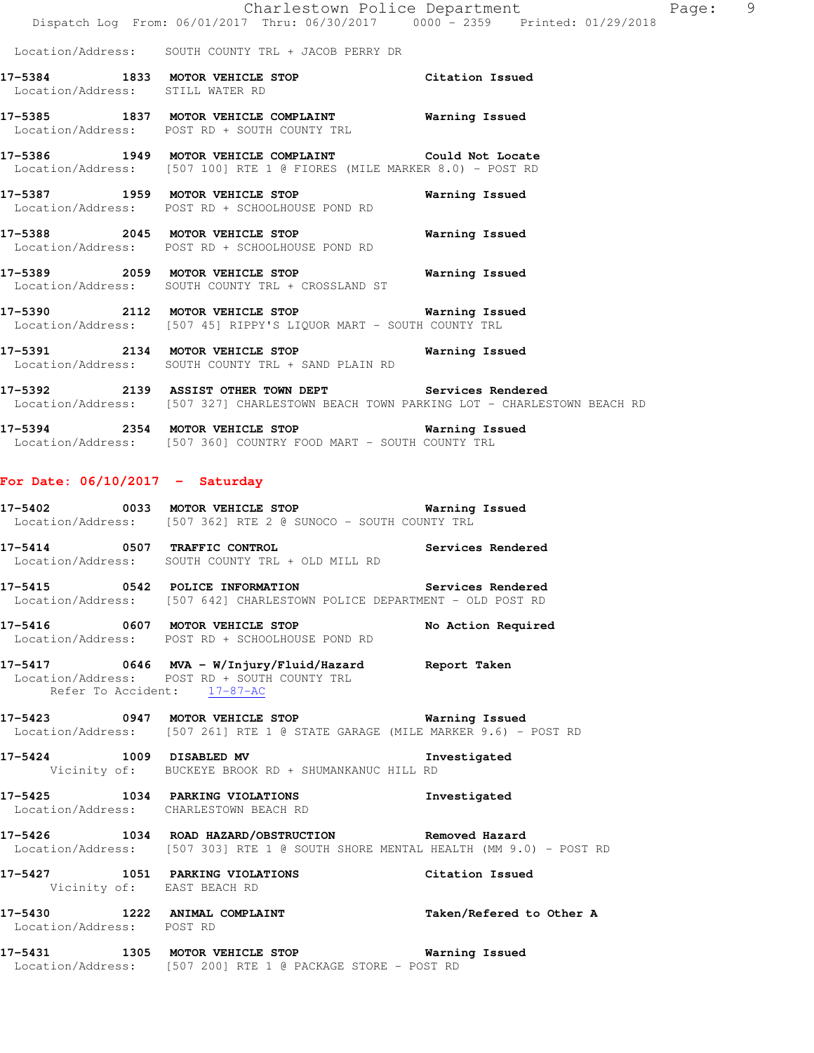|                                   |                                                                                                                                                | Dispatch Log From: 06/01/2017 Thru: 06/30/2017 0000 - 2359 Printed: 01/29/2018 |
|-----------------------------------|------------------------------------------------------------------------------------------------------------------------------------------------|--------------------------------------------------------------------------------|
|                                   | Location/Address: SOUTH COUNTY TRL + JACOB PERRY DR                                                                                            |                                                                                |
| Location/Address: STILL WATER RD  | 17-5384 1833 MOTOR VEHICLE STOP Citation Issued                                                                                                |                                                                                |
|                                   | 17-5385 1837 MOTOR VEHICLE COMPLAINT <b>Warning Issued</b><br>Location/Address: POST RD + SOUTH COUNTY TRL                                     |                                                                                |
|                                   | 17-5386 1949 MOTOR VEHICLE COMPLAINT Could Not Locate<br>Location/Address: [507 100] RTE 1 @ FIORES (MILE MARKER 8.0) - POST RD                |                                                                                |
|                                   | 17-5387 1959 MOTOR VEHICLE STOP<br>Location/Address: POST RD + SCHOOLHOUSE POND RD                                                             | Warning Issued                                                                 |
|                                   | 17-5388 2045 MOTOR VEHICLE STOP<br>Location/Address: POST RD + SCHOOLHOUSE POND RD                                                             | <b>Warning Issued</b>                                                          |
|                                   |                                                                                                                                                |                                                                                |
|                                   | 17-5390 2112 MOTOR VEHICLE STOP 6 Warning Issued<br>Location/Address: [507 45] RIPPY'S LIQUOR MART - SOUTH COUNTY TRL                          |                                                                                |
|                                   | 17-5391 2134 MOTOR VEHICLE STOP <b>Warning Issued</b><br>Location/Address: SOUTH COUNTY TRL + SAND PLAIN RD                                    |                                                                                |
|                                   | 17-5392 2139 ASSIST OTHER TOWN DEPT Services Rendered<br>Location/Address: [507 327] CHARLESTOWN BEACH TOWN PARKING LOT - CHARLESTOWN BEACH RD |                                                                                |
|                                   | 17-5394 2354 MOTOR VEHICLE STOP 6 Warning Issued<br>Location/Address: [507 360] COUNTRY FOOD MART - SOUTH COUNTY TRL                           |                                                                                |
| For Date: $06/10/2017 -$ Saturday |                                                                                                                                                |                                                                                |
|                                   |                                                                                                                                                |                                                                                |
|                                   | 17-5402 0033 MOTOR VEHICLE STOP 6 Warning Issued<br>Location/Address: [507 362] RTE 2 @ SUNOCO - SOUTH COUNTY TRL                              |                                                                                |
|                                   | -<br>17-5414 0507 TRAFFIC CONTROL CONTROL Services Rendered<br>Location/Address: SOUTH COUNTY TRL + OLD MILL RD                                |                                                                                |
|                                   | 17-5415 		 0542 POLICE INFORMATION 		 Services Rendered<br>Location/Address: [507 642] CHARLESTOWN POLICE DEPARTMENT - OLD POST RD             |                                                                                |
|                                   | Location/Address: POST RD + SCHOOLHOUSE POND RD                                                                                                |                                                                                |
| Refer To Accident: 17-87-AC       | 17-5417 0646 MVA - W/Injury/Fluid/Hazard Report Taken<br>Location/Address: POST RD + SOUTH COUNTY TRL                                          |                                                                                |
|                                   | 17-5423 0947 MOTOR VEHICLE STOP <b>Warning Issued</b><br>Location/Address: [507 261] RTE 1 @ STATE GARAGE (MILE MARKER 9.6) - POST RD          |                                                                                |
|                                   | 17-5424 1009 DISABLED MV<br>Vicinity of: BUCKEYE BROOK RD + SHUMANKANUC HILL RD                                                                | Investigated                                                                   |
|                                   | 17-5425 1034 PARKING VIOLATIONS<br>Location/Address: CHARLESTOWN BEACH RD                                                                      | Investigated                                                                   |
|                                   | 17-5426 1034 ROAD HAZARD/OBSTRUCTION Removed Hazard<br>Location/Address: [507 303] RTE 1 @ SOUTH SHORE MENTAL HEALTH (MM 9.0) - POST RD        |                                                                                |
| Vicinity of: EAST BEACH RD        | 17-5427 1051 PARKING VIOLATIONS                                                                                                                | Citation Issued                                                                |
| Location/Address: POST RD         | 17-5430 1222 ANIMAL COMPLAINT                                                                                                                  | Taken/Refered to Other A                                                       |

Charlestown Police Department Page: 9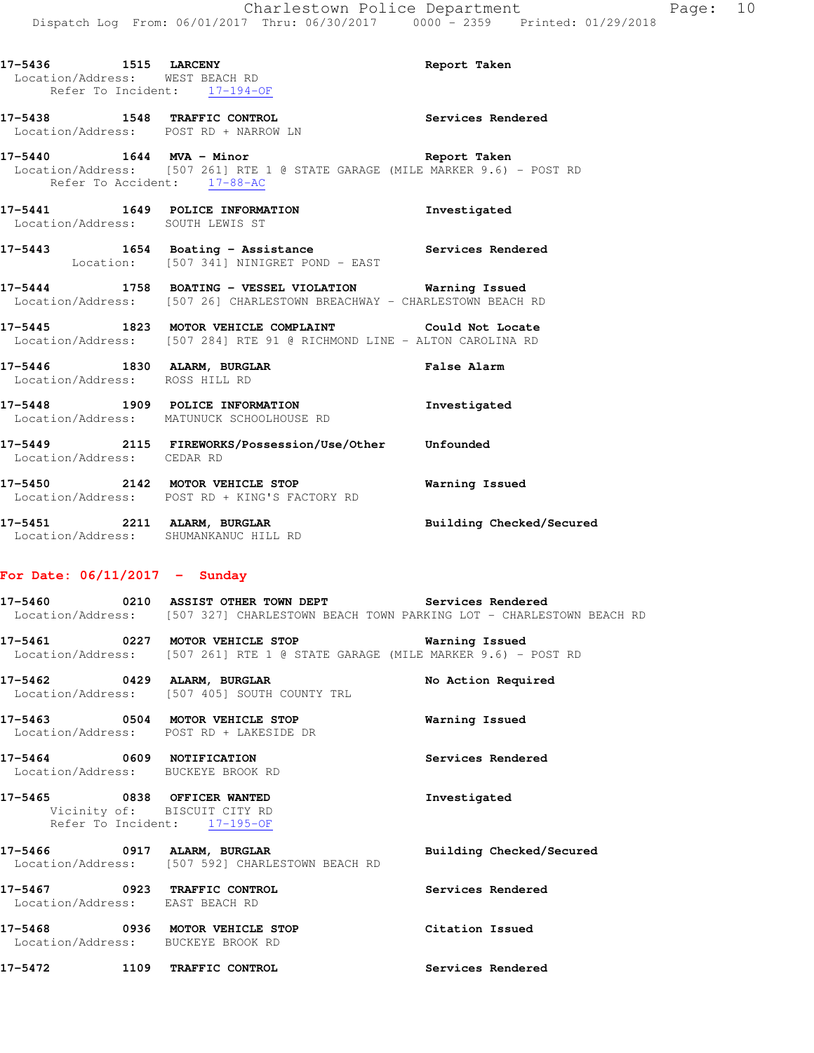**17-5436 1515 LARCENY Report Taken**  Location/Address: WEST BEACH RD Refer To Incident: 17-194-OF **17-5438 1548 TRAFFIC CONTROL Services Rendered**  Location/Address: POST RD + NARROW LN **17-5440 1644 MVA - Minor Report Taken**  Location/Address: [507 261] RTE 1 @ STATE GARAGE (MILE MARKER 9.6) - POST RD Refer To Accident: 17-88-AC **17-5441 1649 POLICE INFORMATION Investigated**  Location/Address: SOUTH LEWIS ST **17-5443 1654 Boating - Assistance Services Rendered**  Location: [507 341] NINIGRET POND - EAST **17-5444 1758 BOATING - VESSEL VIOLATION Warning Issued**  Location/Address: [507 26] CHARLESTOWN BREACHWAY - CHARLESTOWN BEACH RD **17-5445 1823 MOTOR VEHICLE COMPLAINT Could Not Locate**  Location/Address: [507 284] RTE 91 @ RICHMOND LINE - ALTON CAROLINA RD **17-5446 1830 ALARM, BURGLAR False Alarm**  Location/Address: ROSS HILL RD **17-5448 1909 POLICE INFORMATION Investigated**  Location/Address: MATUNUCK SCHOOLHOUSE RD **17-5449 2115 FIREWORKS/Possession/Use/Other Unfounded**  Location/Address: CEDAR RD

**17-5450 2142 MOTOR VEHICLE STOP Warning Issued**  Location/Address: POST RD + KING'S FACTORY RD **17-5451 2211 ALARM, BURGLAR Building Checked/Secured** 

**17-5460 0210 ASSIST OTHER TOWN DEPT Services Rendered** 

**17-5472 1109 TRAFFIC CONTROL Services Rendered** 

#### **For Date: 06/11/2017 - Sunday**

Location/Address: SHUMANKANUC HILL RD

 Location/Address: [507 327] CHARLESTOWN BEACH TOWN PARKING LOT - CHARLESTOWN BEACH RD **17-5461 0227 MOTOR VEHICLE STOP Warning Issued**  Location/Address: [507 261] RTE 1 @ STATE GARAGE (MILE MARKER 9.6) - POST RD 17-5462 **0429 ALARM, BURGLAR 17-5462** No Action Required Location/Address: [507 405] SOUTH COUNTY TRL **17-5463 0504 MOTOR VEHICLE STOP Warning Issued**  Location/Address: POST RD + LAKESIDE DR **17-5464 0609 NOTIFICATION Services Rendered**  Location/Address: BUCKEYE BROOK RD **17-5465 0838 OFFICER WANTED Investigated**  Vicinity of: BISCUIT CITY RD Refer To Incident: 17-195-OF **17-5466 0917 ALARM, BURGLAR Building Checked/Secured**  Location/Address: [507 592] CHARLESTOWN BEACH RD **17-5467 0923 TRAFFIC CONTROL Services Rendered**  Location/Address: EAST BEACH RD **17-5468 0936 MOTOR VEHICLE STOP Citation Issued**  Location/Address: BUCKEYE BROOK RD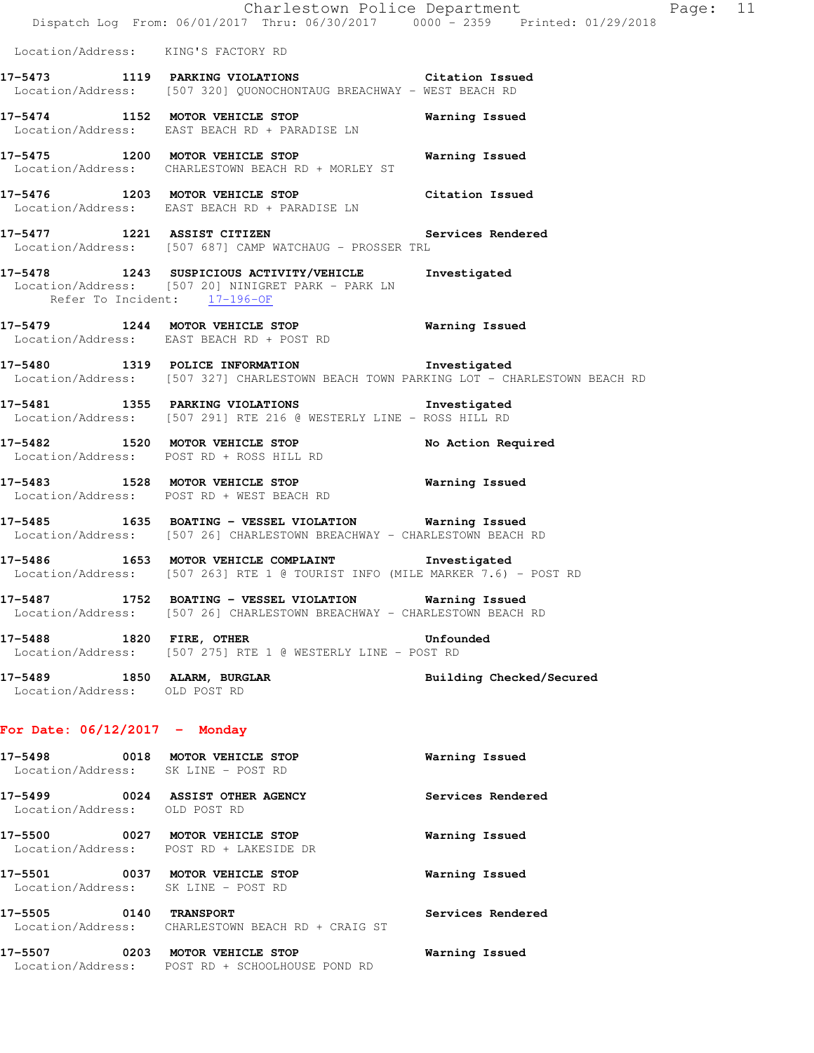|                                                              | Dispatch Log From: 06/01/2017 Thru: 06/30/2017 0000 - 2359 Printed: 01/29/2018                                                        | Charlestown Police Department | Page: 11 |
|--------------------------------------------------------------|---------------------------------------------------------------------------------------------------------------------------------------|-------------------------------|----------|
| Location/Address: KING'S FACTORY RD                          |                                                                                                                                       |                               |          |
|                                                              | 17-5473 1119 PARKING VIOLATIONS Citation Issued<br>Location/Address: [507 320] QUONOCHONTAUG BREACHWAY - WEST BEACH RD                |                               |          |
|                                                              | 17-5474 1152 MOTOR VEHICLE STOP<br>Location/Address: EAST BEACH RD + PARADISE LN                                                      | Warning Issued                |          |
|                                                              | 17-5475 1200 MOTOR VEHICLE STOP<br>Location/Address: CHARLESTOWN BEACH RD + MORLEY ST                                                 | Warning Issued                |          |
|                                                              | 17-5476 1203 MOTOR VEHICLE STOP Citation Issued<br>Location/Address: EAST BEACH RD + PARADISE LN                                      |                               |          |
|                                                              | 17-5477 1221 ASSIST CITIZEN<br>Location/Address: [507 687] CAMP WATCHAUG - PROSSER TRL                                                | Services Rendered             |          |
| Refer To Incident: 17-196-OF                                 | 17-5478 1243 SUSPICIOUS ACTIVITY/VEHICLE Investigated<br>Location/Address: [507 20] NINIGRET PARK - PARK LN                           |                               |          |
|                                                              | 17-5479 1244 MOTOR VEHICLE STOP<br>Location/Address: EAST BEACH RD + POST RD                                                          | <b>Warning Issued</b>         |          |
|                                                              | 17-5480 1319 POLICE INFORMATION 1nvestigated<br>Location/Address: [507 327] CHARLESTOWN BEACH TOWN PARKING LOT - CHARLESTOWN BEACH RD |                               |          |
|                                                              | 17-5481 1355 PARKING VIOLATIONS 1nvestigated<br>Location/Address: [507 291] RTE 216 @ WESTERLY LINE - ROSS HILL RD                    |                               |          |
|                                                              | 17-5482 1520 MOTOR VEHICLE STOP<br>Location/Address: POST RD + ROSS HILL RD                                                           | No Action Required            |          |
|                                                              | 17-5483 1528 MOTOR VEHICLE STOP 6 Warning Issued<br>Location/Address: POST RD + WEST BEACH RD                                         |                               |          |
|                                                              | 17-5485 1635 BOATING - VESSEL VIOLATION Warning Issued<br>Location/Address: [507 26] CHARLESTOWN BREACHWAY - CHARLESTOWN BEACH RD     |                               |          |
|                                                              | 17-5486 1653 MOTOR VEHICLE COMPLAINT Threstigated<br>Location/Address: [507 263] RTE 1 @ TOURIST INFO (MILE MARKER 7.6) - POST RD     |                               |          |
|                                                              | 17-5487 1752 BOATING - VESSEL VIOLATION Warning Issued<br>Location/Address: [507 26] CHARLESTOWN BREACHWAY - CHARLESTOWN BEACH RD     |                               |          |
| 17-5488 1820 FIRE, OTHER                                     | Location/Address: [507 275] RTE 1 @ WESTERLY LINE - POST RD                                                                           | Unfounded                     |          |
| 17-5489 1850 ALARM, BURGLAR<br>Location/Address: OLD POST RD |                                                                                                                                       | Building Checked/Secured      |          |
| For Date: $06/12/2017$ - Monday                              |                                                                                                                                       |                               |          |
| Location/Address: SK LINE - POST RD                          | 17-5498 0018 MOTOR VEHICLE STOP                                                                                                       | Warning Issued                |          |
| Location/Address: OLD POST RD                                | 17-5499 0024 ASSIST OTHER AGENCY                                                                                                      | Services Rendered             |          |
|                                                              | 17-5500 0027 MOTOR VEHICLE STOP<br>Location/Address: POST RD + LAKESIDE DR                                                            | Warning Issued                |          |
| Location/Address: SK LINE - POST RD                          | 17-5501 0037 MOTOR VEHICLE STOP                                                                                                       | Warning Issued                |          |
| 17-5505 0140 TRANSPORT                                       | Location/Address: CHARLESTOWN BEACH RD + CRAIG ST                                                                                     | Services Rendered             |          |
|                                                              | 17-5507 0203 MOTOR VEHICLE STOP<br>Location/Address: POST RD + SCHOOLHOUSE POND RD                                                    | Warning Issued                |          |
|                                                              |                                                                                                                                       |                               |          |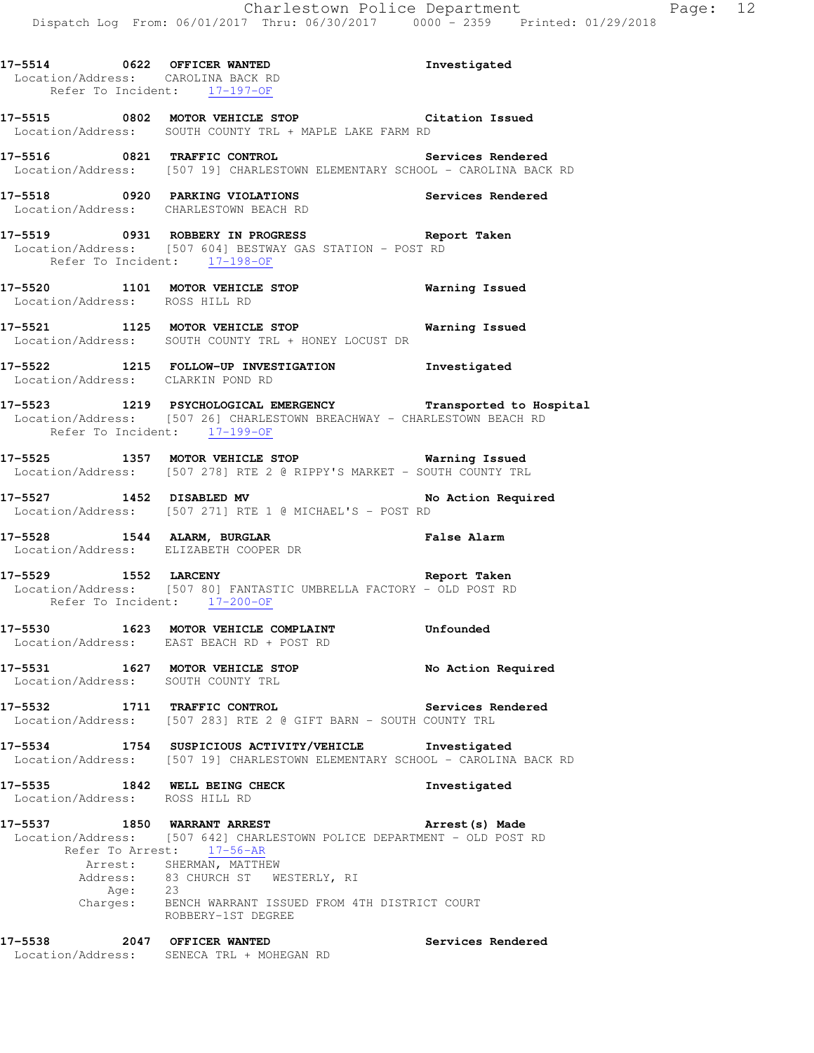| 17-5514                            | 0622 OFFICER WANTED | Investigated |
|------------------------------------|---------------------|--------------|
| Location/Address: CAROLINA BACK RD |                     |              |
| Refer To Incident: 17-197-OF       |                     |              |

**17-5515 0802 MOTOR VEHICLE STOP Citation Issued**  Location/Address: SOUTH COUNTY TRL + MAPLE LAKE FARM RD

**17-5516 0821 TRAFFIC CONTROL Services Rendered**  Location/Address: [507 19] CHARLESTOWN ELEMENTARY SCHOOL - CAROLINA BACK RD

**17-5518 0920 PARKING VIOLATIONS Services Rendered**  Location/Address: CHARLESTOWN BEACH RD

**17-5519 0931 ROBBERY IN PROGRESS Report Taken**  Location/Address: [507 604] BESTWAY GAS STATION - POST RD Refer To Incident: 17-198-OF

**17-5520 1101 MOTOR VEHICLE STOP Warning Issued**  Location/Address: ROSS HILL RD

**17-5521 1125 MOTOR VEHICLE STOP Warning Issued**  Location/Address: SOUTH COUNTY TRL + HONEY LOCUST DR

**17-5522 1215 FOLLOW-UP INVESTIGATION Investigated**  Location/Address: CLARKIN POND RD

**17-5523 1219 PSYCHOLOGICAL EMERGENCY Transported to Hospital**  Location/Address: [507 26] CHARLESTOWN BREACHWAY - CHARLESTOWN BEACH RD Refer To Incident: 17-199-OF

**17-5525 1357 MOTOR VEHICLE STOP Warning Issued**  Location/Address: [507 278] RTE 2 @ RIPPY'S MARKET - SOUTH COUNTY TRL

17-5527 1452 DISABLED MV **No Action Required** Location/Address: [507 271] RTE 1 @ MICHAEL'S - POST RD

**17-5528 1544 ALARM, BURGLAR False Alarm**  Location/Address: ELIZABETH COOPER DR

**17-5529 1552 LARCENY Report Taken**  Location/Address: [507 80] FANTASTIC UMBRELLA FACTORY - OLD POST RD Refer To Incident: 17-200-OF

**17-5530 1623 MOTOR VEHICLE COMPLAINT Unfounded**  Location/Address: EAST BEACH RD + POST RD

**17-5531 1627 MOTOR VEHICLE STOP No Action Required**  Location/Address: SOUTH COUNTY TRL

**17-5532 1711 TRAFFIC CONTROL Services Rendered**  Location/Address: [507 283] RTE 2 @ GIFT BARN - SOUTH COUNTY TRL

**17-5534 1754 SUSPICIOUS ACTIVITY/VEHICLE Investigated**  Location/Address: [507 19] CHARLESTOWN ELEMENTARY SCHOOL - CAROLINA BACK RD

**17-5535 1842 WELL BEING CHECK Investigated**  Location/Address: ROSS HILL RD

**17-5537 1850 WARRANT ARREST Arrest(s) Made**  Location/Address: [507 642] CHARLESTOWN POLICE DEPARTMENT - OLD POST RD Refer To Arrest: 17-56-AR Arrest: SHERMAN, MATTHEW Address: 83 CHURCH ST WESTERLY, RI Age: 23 Charges: BENCH WARRANT ISSUED FROM 4TH DISTRICT COURT ROBBERY-1ST DEGREE

**17-5538 2047 OFFICER WANTED Services Rendered**  Location/Address: SENECA TRL + MOHEGAN RD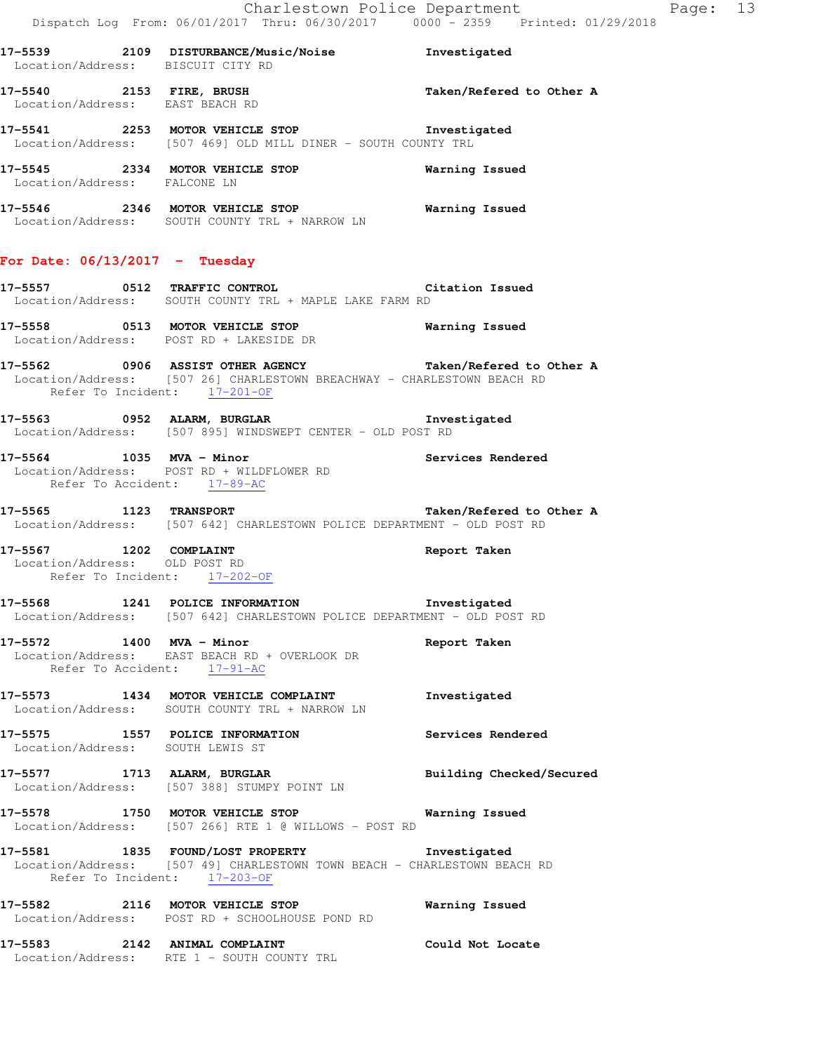**17-5539 2109 DISTURBANCE/Music/Noise Investigated**  Location/Address: BISCUIT CITY RD **17-5540 2153 FIRE, BRUSH Taken/Refered to Other A**  Location/Address: EAST BEACH RD **17-5541 2253 MOTOR VEHICLE STOP Investigated**  Location/Address: [507 469] OLD MILL DINER - SOUTH COUNTY TRL **17-5545 2334 MOTOR VEHICLE STOP Warning Issued**  Location/Address: FALCONE LN **17-5546 2346 MOTOR VEHICLE STOP Warning Issued**  Location/Address: SOUTH COUNTY TRL + NARROW LN **For Date: 06/13/2017 - Tuesday 17-5557 0512 TRAFFIC CONTROL Citation Issued**  Location/Address: SOUTH COUNTY TRL + MAPLE LAKE FARM RD **17-5558 0513 MOTOR VEHICLE STOP Warning Issued**  Location/Address: POST RD + LAKESIDE DR **17-5562 0906 ASSIST OTHER AGENCY Taken/Refered to Other A**  Location/Address: [507 26] CHARLESTOWN BREACHWAY - CHARLESTOWN BEACH RD Refer To Incident: 17-201-OF **17-5563 0952 ALARM, BURGLAR Investigated**  Location/Address: [507 895] WINDSWEPT CENTER - OLD POST RD **17-5564 1035 MVA - Minor Services Rendered**  Location/Address: POST RD + WILDFLOWER RD Refer To Accident: 17-89-AC **17-5565 1123 TRANSPORT Taken/Refered to Other A**  Location/Address: [507 642] CHARLESTOWN POLICE DEPARTMENT - OLD POST RD **17-5567 1202 COMPLAINT Report Taken**  Location/Address: OLD POST RD Refer To Incident: 17-202-OF **17-5568 1241 POLICE INFORMATION Investigated**  Location/Address: [507 642] CHARLESTOWN POLICE DEPARTMENT - OLD POST RD **17-5572 1400 MVA - Minor Report Taken**  Location/Address: EAST BEACH RD + OVERLOOK DR Refer To Accident: 17-91-AC **17-5573 1434 MOTOR VEHICLE COMPLAINT Investigated**  Location/Address: SOUTH COUNTY TRL + NARROW LN **17-5575 1557 POLICE INFORMATION Services Rendered**  Location/Address: SOUTH LEWIS ST **17-5577 1713 ALARM, BURGLAR Building Checked/Secured**  Location/Address: [507 388] STUMPY POINT LN **17-5578 1750 MOTOR VEHICLE STOP Warning Issued**  Location/Address: [507 266] RTE 1 @ WILLOWS - POST RD **17-5581 1835 FOUND/LOST PROPERTY Investigated**  Location/Address: [507 49] CHARLESTOWN TOWN BEACH - CHARLESTOWN BEACH RD Refer To Incident: 17-203-OF **17-5582 2116 MOTOR VEHICLE STOP Warning Issued**  Location/Address: POST RD + SCHOOLHOUSE POND RD **17-5583 2142 ANIMAL COMPLAINT Could Not Locate**  Location/Address: RTE 1 - SOUTH COUNTY TRL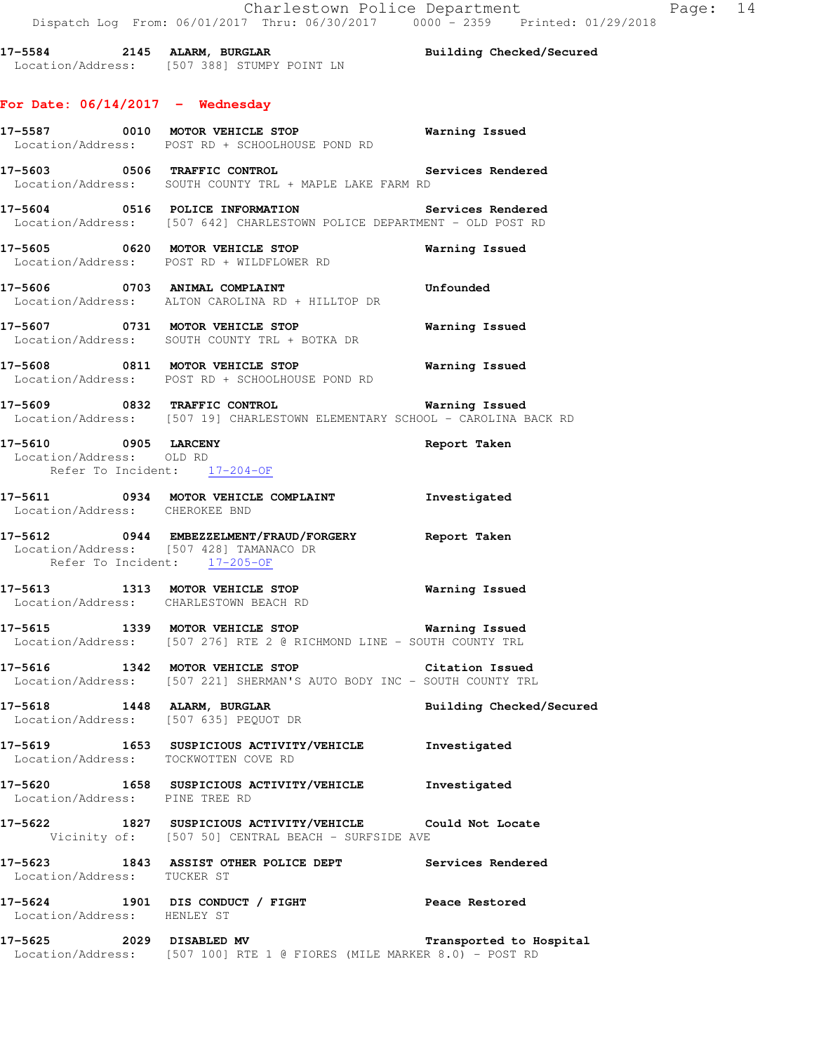**17-5584 2145 ALARM, BURGLAR Building Checked/Secured**  Location/Address: [507 388] STUMPY POINT LN

#### **For Date: 06/14/2017 - Wednesday**

- **17-5587 0010 MOTOR VEHICLE STOP Warning Issued**  Location/Address: POST RD + SCHOOLHOUSE POND RD **17-5603 0506 TRAFFIC CONTROL Services Rendered**  Location/Address: SOUTH COUNTY TRL + MAPLE LAKE FARM RD **17-5604 0516 POLICE INFORMATION Services Rendered**  Location/Address: [507 642] CHARLESTOWN POLICE DEPARTMENT - OLD POST RD **17-5605 0620 MOTOR VEHICLE STOP Warning Issued**  Location/Address: POST RD + WILDFLOWER RD **17-5606 0703 ANIMAL COMPLAINT Unfounded**  Location/Address: ALTON CAROLINA RD + HILLTOP DR **17-5607 0731 MOTOR VEHICLE STOP Warning Issued**  Location/Address: SOUTH COUNTY TRL + BOTKA DR **17-5608 0811 MOTOR VEHICLE STOP Warning Issued**  Location/Address: POST RD + SCHOOLHOUSE POND RD **17-5609 0832 TRAFFIC CONTROL Warning Issued**  Location/Address: [507 19] CHARLESTOWN ELEMENTARY SCHOOL - CAROLINA BACK RD **17-5610 0905 LARCENY Report Taken**  Location/Address: OLD RD Refer To Incident: 17-204-OF **17-5611 0934 MOTOR VEHICLE COMPLAINT Investigated**  Location/Address: CHEROKEE BND
- **17-5612 0944 EMBEZZELMENT/FRAUD/FORGERY Report Taken**  Location/Address: [507 428] TAMANACO DR Refer To Incident: 17-205-OF
- **17-5613 1313 MOTOR VEHICLE STOP Warning Issued**  Location/Address: CHARLESTOWN BEACH RD
- **17-5615 1339 MOTOR VEHICLE STOP Warning Issued**  Location/Address: [507 276] RTE 2 @ RICHMOND LINE - SOUTH COUNTY TRL
- **17-5616 1342 MOTOR VEHICLE STOP Citation Issued**  Location/Address: [507 221] SHERMAN'S AUTO BODY INC - SOUTH COUNTY TRL
- **17-5618 1448 ALARM, BURGLAR Building Checked/Secured**  Location/Address: [507 635] PEQUOT DR
- **17-5619 1653 SUSPICIOUS ACTIVITY/VEHICLE Investigated**  Location/Address: TOCKWOTTEN COVE RD
- **17-5620 1658 SUSPICIOUS ACTIVITY/VEHICLE Investigated**  Location/Address: PINE TREE RD
- **17-5622 1827 SUSPICIOUS ACTIVITY/VEHICLE Could Not Locate**  Vicinity of: [507 50] CENTRAL BEACH - SURFSIDE AVE
- **17-5623 1843 ASSIST OTHER POLICE DEPT Services Rendered**  Location/Address: TUCKER ST
- **17-5624 1901 DIS CONDUCT / FIGHT Peace Restored**  Location/Address: HENLEY ST
- **17-5625 2029 DISABLED MV Transported to Hospital**  Location/Address: [507 100] RTE 1 @ FIORES (MILE MARKER 8.0) - POST RD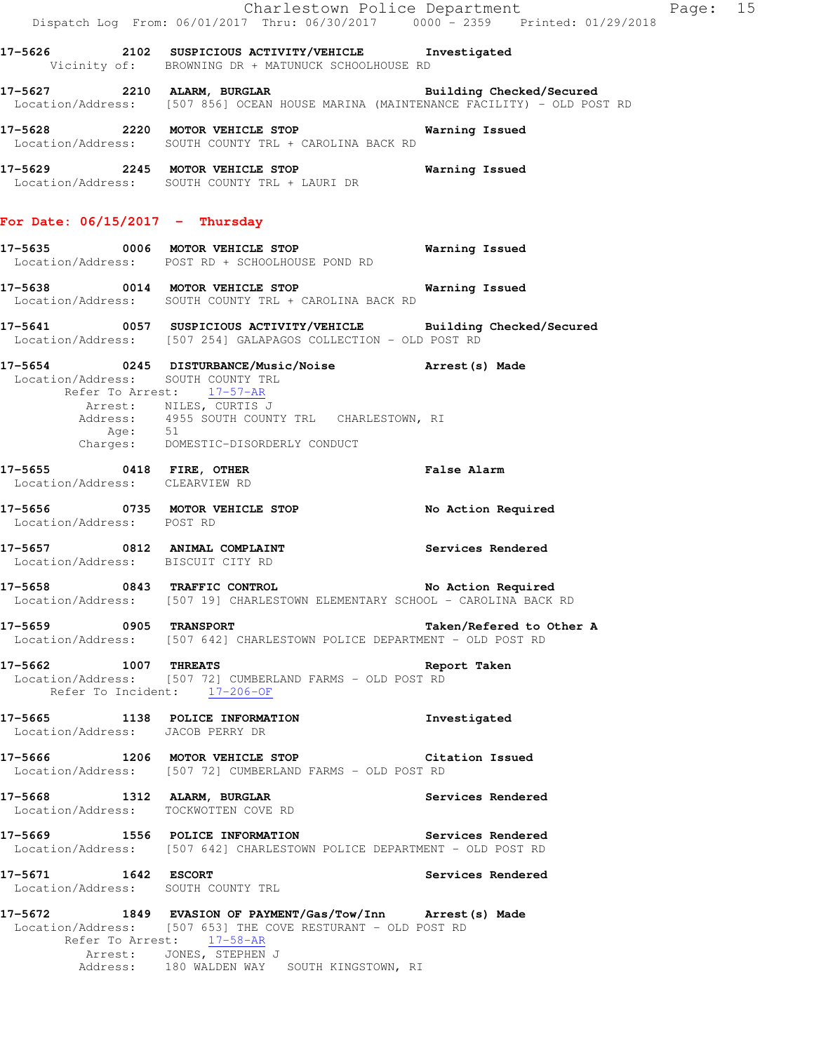|                                                           |                                                                                                                                                                                                                                    | Charlestown Police Department<br>Page: 15<br>Dispatch Log From: 06/01/2017 Thru: 06/30/2017 0000 - 2359 Printed: 01/29/2018 |  |
|-----------------------------------------------------------|------------------------------------------------------------------------------------------------------------------------------------------------------------------------------------------------------------------------------------|-----------------------------------------------------------------------------------------------------------------------------|--|
|                                                           | 17-5626 2102 SUSPICIOUS ACTIVITY/VEHICLE Investigated<br>Vicinity of: BROWNING DR + MATUNUCK SCHOOLHOUSE RD                                                                                                                        |                                                                                                                             |  |
|                                                           | 17-5627 2210 ALARM, BURGLAR Building Checked/Secured<br>Location/Address: [507 856] OCEAN HOUSE MARINA (MAINTENANCE FACILITY) - OLD POST RD                                                                                        |                                                                                                                             |  |
|                                                           | Location/Address: SOUTH COUNTY TRL + CAROLINA BACK RD                                                                                                                                                                              |                                                                                                                             |  |
|                                                           | 17-5629 2245 MOTOR VEHICLE STOP 6 Warning Issued<br>Location/Address: SOUTH COUNTY TRL + LAURI DR                                                                                                                                  |                                                                                                                             |  |
| For Date: $06/15/2017$ - Thursday                         |                                                                                                                                                                                                                                    |                                                                                                                             |  |
|                                                           | 17-5635 0006 MOTOR VEHICLE STOP 6 Warning Issued<br>Location/Address: POST RD + SCHOOLHOUSE POND RD                                                                                                                                |                                                                                                                             |  |
|                                                           | 17-5638 0014 MOTOR VEHICLE STOP 6 Warning Issued<br>Location/Address: SOUTH COUNTY TRL + CAROLINA BACK RD                                                                                                                          |                                                                                                                             |  |
|                                                           | 17-5641 0057 SUSPICIOUS ACTIVITY/VEHICLE Building Checked/Secured<br>Location/Address: [507 254] GALAPAGOS COLLECTION - OLD POST RD                                                                                                |                                                                                                                             |  |
| Location/Address: SOUTH COUNTY TRL                        | 17-5654 0245 DISTURBANCE/Music/Noise <b>Arrest(s)</b> Made<br>Refer To Arrest: 17-57-AR                                                                                                                                            |                                                                                                                             |  |
|                                                           | Arrest: NILES, CURTIS J<br>Address: 4955 SOUTH COUNTY TRL CHARLESTOWN, RI<br>Age: 51<br>Charges: DOMESTIC-DISORDERLY CONDUCT                                                                                                       |                                                                                                                             |  |
| Location/Address: CLEARVIEW RD                            | 17-5655 0418 FIRE, OTHER                                                                                                                                                                                                           | <b>False Alarm</b>                                                                                                          |  |
| Location/Address: POST RD                                 | 17-5656 0735 MOTOR VEHICLE STOP                                                                                                                                                                                                    | No Action Required                                                                                                          |  |
| Location/Address: BISCUIT CITY RD                         | 17-5657 0812 ANIMAL COMPLAINT Services Rendered                                                                                                                                                                                    |                                                                                                                             |  |
|                                                           | 17-5658 0843 TRAFFIC CONTROL<br>Location/Address: [507 19] CHARLESTOWN ELEMENTARY SCHOOL - CAROLINA BACK RD                                                                                                                        | No Action Required                                                                                                          |  |
| 17-5659 0905 TRANSPORT                                    | Location/Address: [507 642] CHARLESTOWN POLICE DEPARTMENT - OLD POST RD                                                                                                                                                            | Taken/Refered to Other A                                                                                                    |  |
| 17-5662 1007 THREATS                                      | Location/Address: [507 72] CUMBERLAND FARMS - OLD POST RD<br>Refer To Incident: 17-206-OF                                                                                                                                          | Report Taken                                                                                                                |  |
| Location/Address: JACOB PERRY DR                          | 17-5665 1138 POLICE INFORMATION                                                                                                                                                                                                    | Investigated                                                                                                                |  |
|                                                           | 17-5666 1206 MOTOR VEHICLE STOP Citation Issued<br>Location/Address: [507 72] CUMBERLAND FARMS - OLD POST RD                                                                                                                       |                                                                                                                             |  |
| Location/Address: TOCKWOTTEN COVE RD                      | 17-5668 1312 ALARM, BURGLAR                                                                                                                                                                                                        | Services Rendered                                                                                                           |  |
|                                                           | 17-5669 1556 POLICE INFORMATION Services Rendered<br>Location/Address: [507 642] CHARLESTOWN POLICE DEPARTMENT - OLD POST RD                                                                                                       |                                                                                                                             |  |
| 17-5671 1642 ESCORT<br>Location/Address: SOUTH COUNTY TRL |                                                                                                                                                                                                                                    | Services Rendered                                                                                                           |  |
|                                                           | 17-5672 1849 EVASION OF PAYMENT/Gas/Tow/Inn Arrest(s) Made<br>Location/Address: [507 653] THE COVE RESTURANT - OLD POST RD<br>Refer To Arrest: 17-58-AR<br>Arrest: JONES, STEPHEN J<br>Address: 180 WALDEN WAY SOUTH KINGSTOWN, RI |                                                                                                                             |  |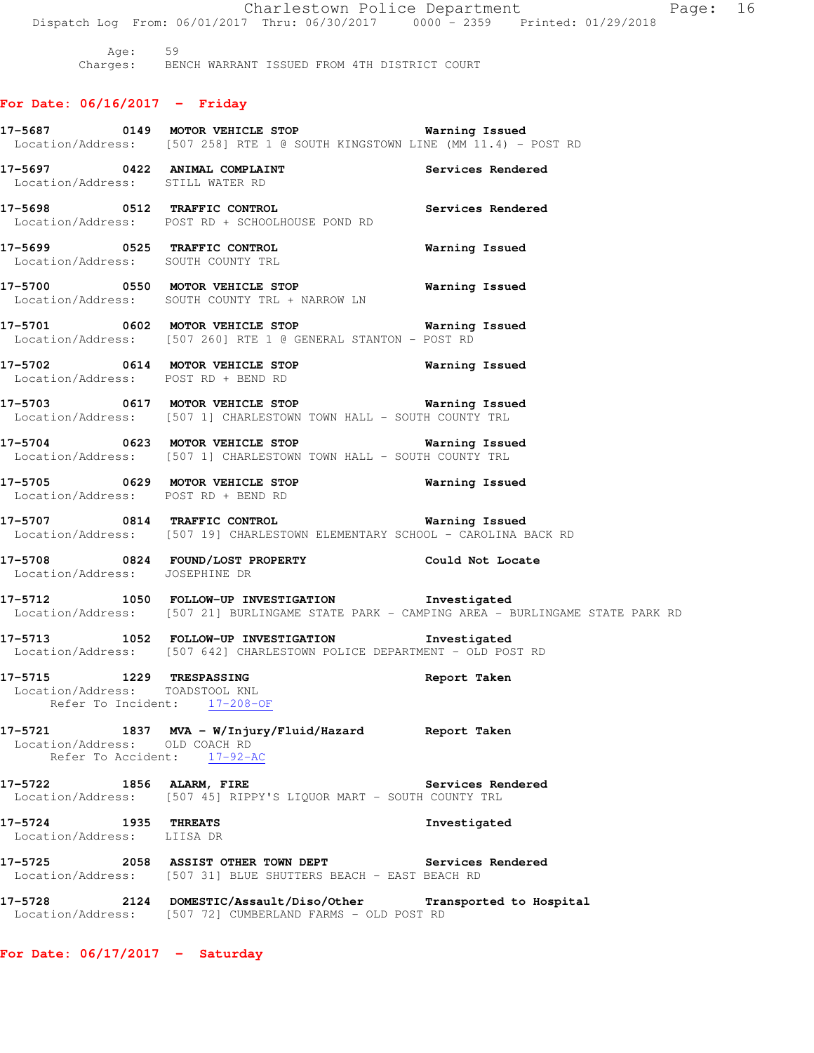Age: 59 Charges: BENCH WARRANT ISSUED FROM 4TH DISTRICT COURT **For Date: 06/16/2017 - Friday 17-5687 0149 MOTOR VEHICLE STOP Warning Issued**  Location/Address: [507 258] RTE 1 @ SOUTH KINGSTOWN LINE (MM 11.4) - POST RD **17-5697 0422 ANIMAL COMPLAINT Services Rendered**  Location/Address: STILL WATER RD **17-5698 0512 TRAFFIC CONTROL Services Rendered**  Location/Address: POST RD + SCHOOLHOUSE POND RD **17-5699 0525 TRAFFIC CONTROL Warning Issued**  Location/Address: SOUTH COUNTY TRL **17-5700 0550 MOTOR VEHICLE STOP Warning Issued**  Location/Address: SOUTH COUNTY TRL + NARROW LN **17-5701 0602 MOTOR VEHICLE STOP Warning Issued**  Location/Address: [507 260] RTE 1 @ GENERAL STANTON - POST RD **17-5702 0614 MOTOR VEHICLE STOP Warning Issued**  Location/Address: POST RD + BEND RD **17-5703 0617 MOTOR VEHICLE STOP Warning Issued**  Location/Address: [507 1] CHARLESTOWN TOWN HALL - SOUTH COUNTY TRL **17-5704 0623 MOTOR VEHICLE STOP Warning Issued**  Location/Address: [507 1] CHARLESTOWN TOWN HALL - SOUTH COUNTY TRL **17-5705 0629 MOTOR VEHICLE STOP Warning Issued**  Location/Address: POST RD + BEND RD **17-5707 0814 TRAFFIC CONTROL Warning Issued**  Location/Address: [507 19] CHARLESTOWN ELEMENTARY SCHOOL - CAROLINA BACK RD **17-5708 0824 FOUND/LOST PROPERTY Could Not Locate**  Location/Address: JOSEPHINE DR **17-5712 1050 FOLLOW-UP INVESTIGATION Investigated**  Location/Address: [507 21] BURLINGAME STATE PARK - CAMPING AREA - BURLINGAME STATE PARK RD **17-5713 1052 FOLLOW-UP INVESTIGATION Investigated**  Location/Address: [507 642] CHARLESTOWN POLICE DEPARTMENT - OLD POST RD **17-5715 1229 TRESPASSING Report Taken**  Location/Address: TOADSTOOL KNL Refer To Incident: 17-208-OF **17-5721 1837 MVA - W/Injury/Fluid/Hazard Report Taken**  Location/Address: OLD COACH RD Refer To Accident: 17-92-AC 17-5722 1856 ALARM, FIRE **1898** Services Rendered Location/Address: [507 45] RIPPY'S LIQUOR MART - SOUTH COUNTY TRL **17-5724 1935 THREATS Investigated**  Location/Address: LIISA DR **17-5725 2058 ASSIST OTHER TOWN DEPT Services Rendered**  Location/Address: [507 31] BLUE SHUTTERS BEACH - EAST BEACH RD **17-5728 2124 DOMESTIC/Assault/Diso/Other Transported to Hospital**  Location/Address: [507 72] CUMBERLAND FARMS - OLD POST RD

Dispatch Log From: 06/01/2017 Thru: 06/30/2017 0000 - 2359 Printed: 01/29/2018

Charlestown Police Department Fage: 16

**For Date: 06/17/2017 - Saturday**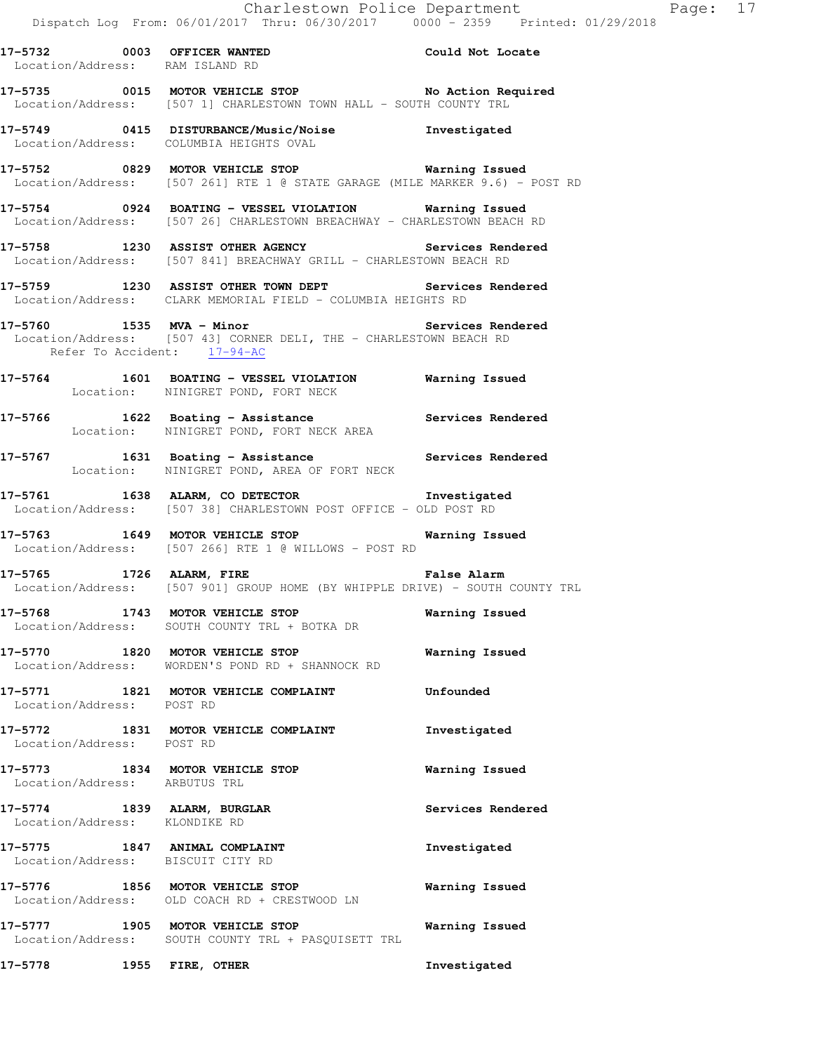**17-5732 0003 OFFICER WANTED Could Not Locate**  Location/Address: RAM ISLAND RD

17-5735 0015 MOTOR VEHICLE STOP **No Action Required** Location/Address: [507 1] CHARLESTOWN TOWN HALL - SOUTH COUNTY TRL

**17-5749 0415 DISTURBANCE/Music/Noise Investigated**  Location/Address: COLUMBIA HEIGHTS OVAL

**17-5752 0829 MOTOR VEHICLE STOP Warning Issued**  Location/Address: [507 261] RTE 1 @ STATE GARAGE (MILE MARKER 9.6) - POST RD

**17-5754 0924 BOATING - VESSEL VIOLATION Warning Issued**  Location/Address: [507 26] CHARLESTOWN BREACHWAY - CHARLESTOWN BEACH RD

**17-5758 1230 ASSIST OTHER AGENCY Services Rendered**  Location/Address: [507 841] BREACHWAY GRILL - CHARLESTOWN BEACH RD

**17-5759 1230 ASSIST OTHER TOWN DEPT Services Rendered**  Location/Address: CLARK MEMORIAL FIELD - COLUMBIA HEIGHTS RD

17-5760 1535 MVA - Minor **Services Rendered**  Location/Address: [507 43] CORNER DELI, THE - CHARLESTOWN BEACH RD Refer To Accident: 17-94-AC

**17-5764 1601 BOATING - VESSEL VIOLATION Warning Issued**  Location: NINIGRET POND, FORT NECK

**17-5766 1622 Boating - Assistance Services Rendered**  Location: NINIGRET POND, FORT NECK AREA

**17-5767 1631 Boating - Assistance Services Rendered**  Location: NINIGRET POND, AREA OF FORT NECK

**17-5761 1638 ALARM, CO DETECTOR Investigated**  Location/Address: [507 38] CHARLESTOWN POST OFFICE - OLD POST RD

**17-5763 1649 MOTOR VEHICLE STOP Warning Issued**  Location/Address: [507 266] RTE 1 @ WILLOWS - POST RD

**17-5765 1726 ALARM, FIRE False Alarm**  Location/Address: [507 901] GROUP HOME (BY WHIPPLE DRIVE) - SOUTH COUNTY TRL

**17-5768 1743 MOTOR VEHICLE STOP Warning Issued**  Location/Address: SOUTH COUNTY TRL + BOTKA DR

**17-5770 1820 MOTOR VEHICLE STOP Warning Issued**  Location/Address: WORDEN'S POND RD + SHANNOCK RD

**17-5771 1821 MOTOR VEHICLE COMPLAINT Unfounded**  Location/Address: POST RD

**17-5772 1831 MOTOR VEHICLE COMPLAINT Investigated**  Location/Address: POST RD

**17-5773 1834 MOTOR VEHICLE STOP Warning Issued**  Location/Address: ARBUTUS TRL

**17-5774 1839 ALARM, BURGLAR Services Rendered**  Location/Address: KLONDIKE RD

**17-5775 1847 ANIMAL COMPLAINT Investigated**  Location/Address: BISCUIT CITY RD

**17-5776 1856 MOTOR VEHICLE STOP Warning Issued**  Location/Address: OLD COACH RD + CRESTWOOD LN

**17-5777 1905 MOTOR VEHICLE STOP Warning Issued**  Location/Address: SOUTH COUNTY TRL + PASQUISETT TRL

**17-5778 1955 FIRE, OTHER Investigated**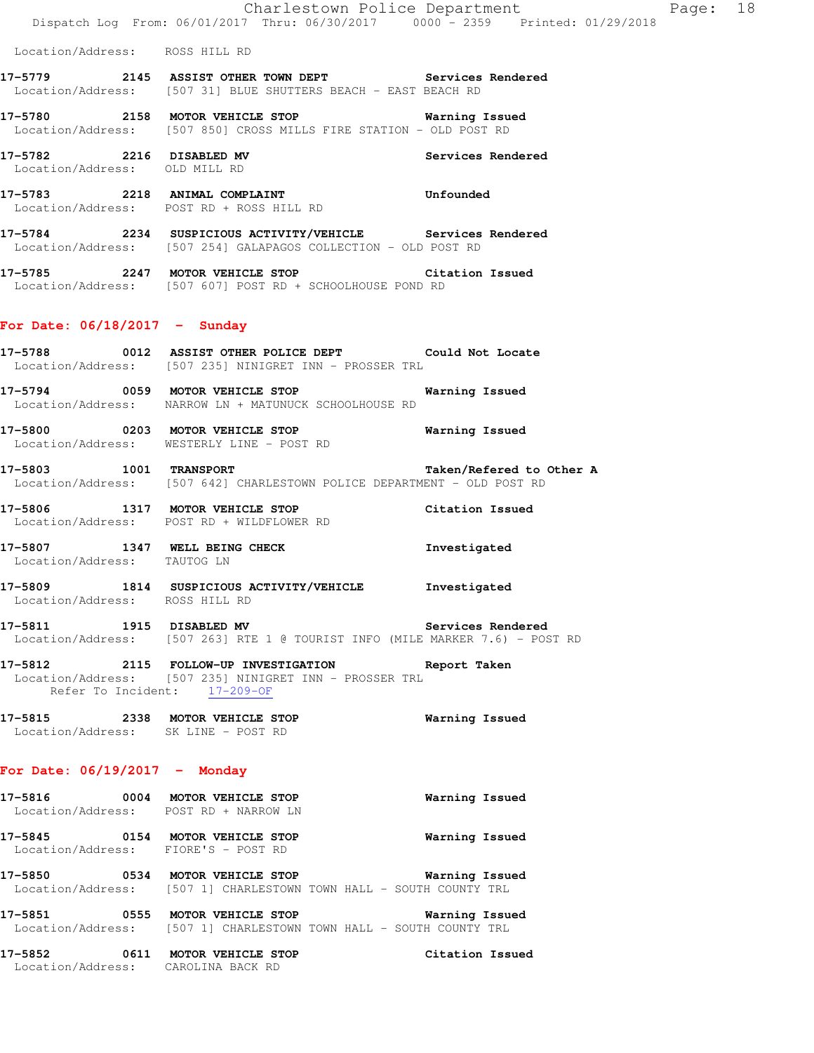**17-5779 2145 ASSIST OTHER TOWN DEPT Services Rendered**  Location/Address: [507 31] BLUE SHUTTERS BEACH - EAST BEACH RD

**17-5780 2158 MOTOR VEHICLE STOP Warning Issued**  Location/Address: [507 850] CROSS MILLS FIRE STATION - OLD POST RD

**17-5782 2216 DISABLED MV Services Rendered**  Location/Address: OLD MILL RD

**17-5783 2218 ANIMAL COMPLAINT Unfounded**  Location/Address: POST RD + ROSS HILL RD

**17-5784 2234 SUSPICIOUS ACTIVITY/VEHICLE Services Rendered**  Location/Address: [507 254] GALAPAGOS COLLECTION - OLD POST RD

**17-5785 2247 MOTOR VEHICLE STOP Citation Issued**  Location/Address: [507 607] POST RD + SCHOOLHOUSE POND RD

## **For Date: 06/18/2017 - Sunday**

**17-5788 0012 ASSIST OTHER POLICE DEPT Could Not Locate**  Location/Address: [507 235] NINIGRET INN - PROSSER TRL

**17-5794 0059 MOTOR VEHICLE STOP Warning Issued**  Location/Address: NARROW LN + MATUNUCK SCHOOLHOUSE RD

**17-5800 0203 MOTOR VEHICLE STOP Warning Issued**  Location/Address: WESTERLY LINE - POST RD

**17-5803 1001 TRANSPORT Taken/Refered to Other A**  Location/Address: [507 642] CHARLESTOWN POLICE DEPARTMENT - OLD POST RD

**17-5806 1317 MOTOR VEHICLE STOP Citation Issued**  Location/Address: POST RD + WILDFLOWER RD

**17-5807 1347 WELL BEING CHECK Investigated**  Location/Address: TAUTOG LN

**17-5809 1814 SUSPICIOUS ACTIVITY/VEHICLE Investigated**  Location/Address: ROSS HILL RD

17-5811 1915 DISABLED MV **Services Rendered** Location/Address: [507 263] RTE 1 @ TOURIST INFO (MILE MARKER 7.6) - POST RD

**17-5812 2115 FOLLOW-UP INVESTIGATION Report Taken**  Location/Address: [507 235] NINIGRET INN - PROSSER TRL Refer To Incident: 17-209-OF

**17-5815 2338 MOTOR VEHICLE STOP Warning Issued**  Location/Address: SK LINE - POST RD

# **For Date: 06/19/2017 - Monday**

**17-5816 0004 MOTOR VEHICLE STOP Warning Issued**  Location/Address: POST RD + NARROW LN **17-5845 0154 MOTOR VEHICLE STOP Warning Issued**  Location/Address: FIORE'S - POST RD **17-5850 0534 MOTOR VEHICLE STOP Warning Issued**  Location/Address: [507 1] CHARLESTOWN TOWN HALL - SOUTH COUNTY TRL **17-5851 0555 MOTOR VEHICLE STOP Warning Issued**  Location/Address: [507 1] CHARLESTOWN TOWN HALL - SOUTH COUNTY TRL

**17-5852 0611 MOTOR VEHICLE STOP Citation Issued**  Location/Address: CAROLINA BACK RD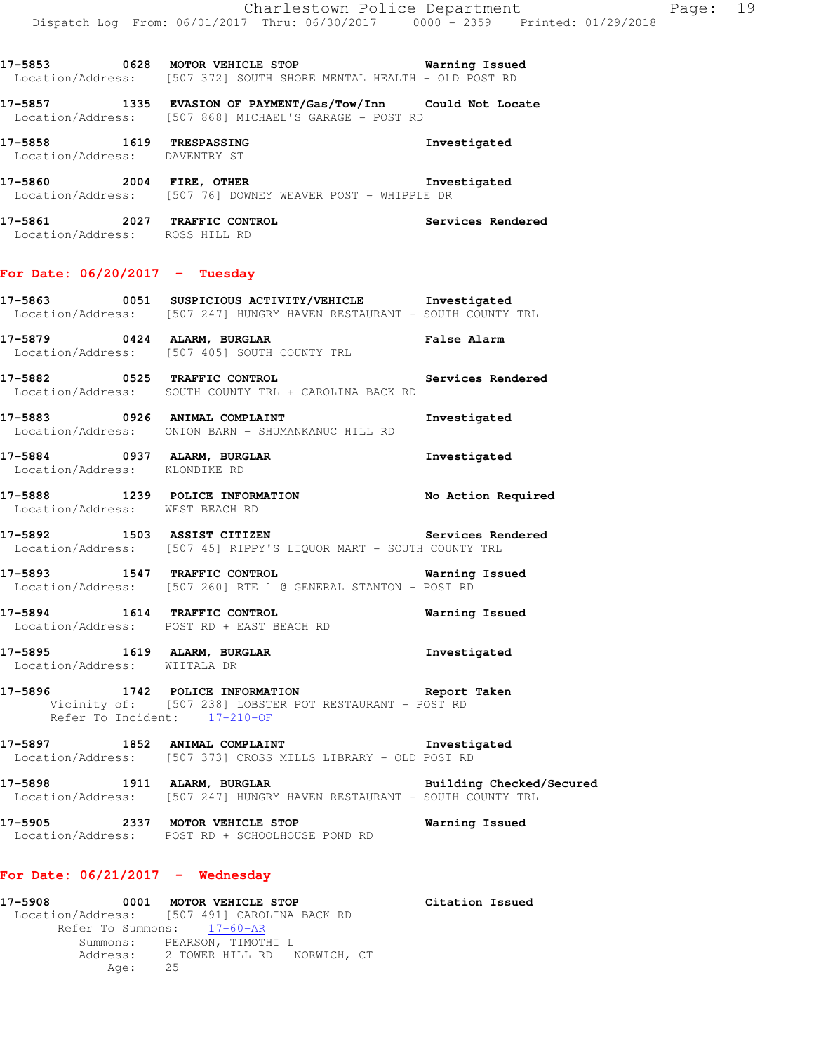**17-5853 0628 MOTOR VEHICLE STOP Warning Issued**  Location/Address: [507 372] SOUTH SHORE MENTAL HEALTH - OLD POST RD

**17-5857 1335 EVASION OF PAYMENT/Gas/Tow/Inn Could Not Locate**  Location/Address: [507 868] MICHAEL'S GARAGE - POST RD

**17-5858 1619 TRESPASSING Investigated**  Location/Address: DAVENTRY ST

**17-5860 2004 FIRE, OTHER Investigated**  Location/Address: [507 76] DOWNEY WEAVER POST - WHIPPLE DR

**17-5861 2027 TRAFFIC CONTROL Services Rendered**  Location/Address: ROSS HILL RD

## **For Date: 06/20/2017 - Tuesday**

**17-5863 0051 SUSPICIOUS ACTIVITY/VEHICLE Investigated**  Location/Address: [507 247] HUNGRY HAVEN RESTAURANT - SOUTH COUNTY TRL

**17-5879 0424 ALARM, BURGLAR False Alarm**  Location/Address: [507 405] SOUTH COUNTY TRL

**17-5882 0525 TRAFFIC CONTROL Services Rendered**  Location/Address: SOUTH COUNTY TRL + CAROLINA BACK RD

**17-5883 0926 ANIMAL COMPLAINT Investigated**  Location/Address: ONION BARN - SHUMANKANUC HILL RD

**17-5884 0937 ALARM, BURGLAR Investigated**  Location/Address: KLONDIKE RD

**17-5888 1239 POLICE INFORMATION No Action Required**  Location/Address: WEST BEACH RD

**17-5892 1503 ASSIST CITIZEN Services Rendered**  Location/Address: [507 45] RIPPY'S LIQUOR MART - SOUTH COUNTY TRL

**17-5893 1547 TRAFFIC CONTROL Warning Issued**  Location/Address: [507 260] RTE 1 @ GENERAL STANTON - POST RD

**17-5894 1614 TRAFFIC CONTROL Warning Issued**  Location/Address: POST RD + EAST BEACH RD

**17-5895 1619 ALARM, BURGLAR Investigated**  Location/Address: WIITALA DR

**17-5896 1742 POLICE INFORMATION Report Taken**  Vicinity of: [507 238] LOBSTER POT RESTAURANT - POST RD Refer To Incident: 17-210-OF

17-5897 1852 ANIMAL COMPLAINT **17-5897** Investigated Location/Address: [507 373] CROSS MILLS LIBRARY - OLD POST RD

**17-5898 1911 ALARM, BURGLAR Building Checked/Secured**  Location/Address: [507 247] HUNGRY HAVEN RESTAURANT - SOUTH COUNTY TRL

**17-5905 2337 MOTOR VEHICLE STOP Warning Issued**  Location/Address: POST RD + SCHOOLHOUSE POND RD

#### **For Date: 06/21/2017 - Wednesday**

| 17-5908 | 0001 MOTOR VEHICLE STOP                      | Citation Issued |
|---------|----------------------------------------------|-----------------|
|         | Location/Address: [507 491] CAROLINA BACK RD |                 |
|         | Refer To Summons: 17-60-AR                   |                 |
|         | Summons: PEARSON, TIMOTHI L                  |                 |
|         | Address: 2 TOWER HILL RD NORWICH, CT         |                 |
| Aae:    | 25                                           |                 |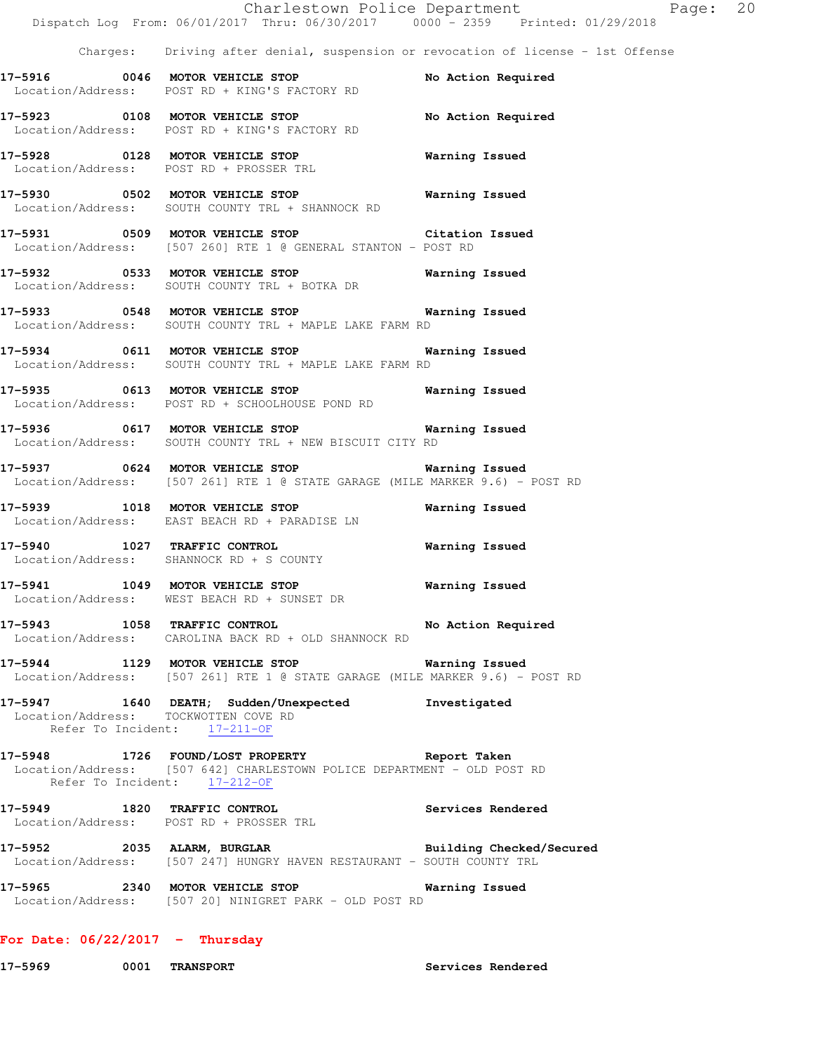|                                      | Dispatch Log From: 06/01/2017 Thru: 06/30/2017 0000 - 2359 Printed: 01/29/2018                                                                                   | Charlestown Police Department<br>Page: 20 |  |
|--------------------------------------|------------------------------------------------------------------------------------------------------------------------------------------------------------------|-------------------------------------------|--|
|                                      | Charges: Driving after denial, suspension or revocation of license - 1st Offense                                                                                 |                                           |  |
|                                      | 17-5916 0046 MOTOR VEHICLE STOP<br>Location/Address: POST RD + KING'S FACTORY RD                                                                                 | No Action Required                        |  |
|                                      | 17-5923 0108 MOTOR VEHICLE STOP<br>Location/Address: POST RD + KING'S FACTORY RD                                                                                 | No Action Required                        |  |
|                                      | 17-5928 0128 MOTOR VEHICLE STOP<br>Location/Address: POST RD + PROSSER TRL                                                                                       | <b>Warning Issued</b>                     |  |
|                                      | 17-5930 0502 MOTOR VEHICLE STOP 6 Warning Issued<br>Location/Address: SOUTH COUNTY TRL + SHANNOCK RD                                                             |                                           |  |
|                                      | 17-5931 0509 MOTOR VEHICLE STOP Citation Issued<br>Location/Address: [507 260] RTE 1 @ GENERAL STANTON - POST RD                                                 |                                           |  |
|                                      | 17-5932 0533 MOTOR VEHICLE STOP 6 Warning Issued<br>Location/Address: SOUTH COUNTY TRL + BOTKA DR                                                                |                                           |  |
|                                      | 17-5933 0548 MOTOR VEHICLE STOP 17-5933<br>Location/Address: SOUTH COUNTY TRL + MAPLE LAKE FARM RD                                                               |                                           |  |
|                                      | 17-5934 0611 MOTOR VEHICLE STOP 6 Warning Issued<br>Location/Address: SOUTH COUNTY TRL + MAPLE LAKE FARM RD                                                      |                                           |  |
|                                      | 17-5935 0613 MOTOR VEHICLE STOP <b>Warning Issued</b><br>Location/Address: POST RD + SCHOOLHOUSE POND RD                                                         |                                           |  |
|                                      | 17-5936 0617 MOTOR VEHICLE STOP 6 Warning Issued<br>Location/Address: SOUTH COUNTY TRL + NEW BISCUIT CITY RD                                                     |                                           |  |
|                                      | 17-5937 0624 MOTOR VEHICLE STOP<br>Location/Address: [507 261] RTE 1 @ STATE GARAGE (MILE MARKER 9.6) - POST RD                                                  | Warning Issued                            |  |
|                                      | 17-5939 1018 MOTOR VEHICLE STOP<br>Location/Address: EAST BEACH RD + PARADISE LN                                                                                 | Warning Issued                            |  |
|                                      | 17-5940 1027 TRAFFIC CONTROL<br>Location/Address: SHANNOCK RD + S COUNTY                                                                                         | <b>Warning Issued</b>                     |  |
|                                      | 17-5941 1049 MOTOR VEHICLE STOP 6 Warning Issued<br>Location/Address: WEST BEACH RD + SUNSET DR                                                                  |                                           |  |
|                                      | 17-5943 1058 TRAFFIC CONTROL No Action Required<br>Location/Address: CAROLINA BACK RD + OLD SHANNOCK RD                                                          |                                           |  |
|                                      | 17-5944 1129 MOTOR VEHICLE STOP Warning Issued<br>Location/Address: [507 261] RTE 1 @ STATE GARAGE (MILE MARKER 9.6) - POST RD                                   |                                           |  |
| Location/Address: TOCKWOTTEN COVE RD | 17-5947 1640 DEATH; Sudden/Unexpected Investigated<br>Refer To Incident: 17-211-OF                                                                               |                                           |  |
|                                      | 17-5948 1726 FOUND/LOST PROPERTY 17-5948 Report Taken<br>Location/Address: [507 642] CHARLESTOWN POLICE DEPARTMENT - OLD POST RD<br>Refer To Incident: 17-212-OF |                                           |  |
|                                      | 17-5949 1820 TRAFFIC CONTROL Services Rendered<br>Location/Address: POST RD + PROSSER TRL                                                                        |                                           |  |
|                                      | 17-5952 2035 ALARM, BURGLAR BURGER Building Checked/Secured<br>Location/Address: [507 247] HUNGRY HAVEN RESTAURANT - SOUTH COUNTY TRL                            |                                           |  |
|                                      | 17-5965 2340 MOTOR VEHICLE STOP 6 Warning Issued<br>Location/Address: [507 20] NINIGRET PARK - OLD POST RD                                                       |                                           |  |
| For Date: $06/22/2017$ - Thursday    |                                                                                                                                                                  |                                           |  |

**17-5969 0001 TRANSPORT Services Rendered**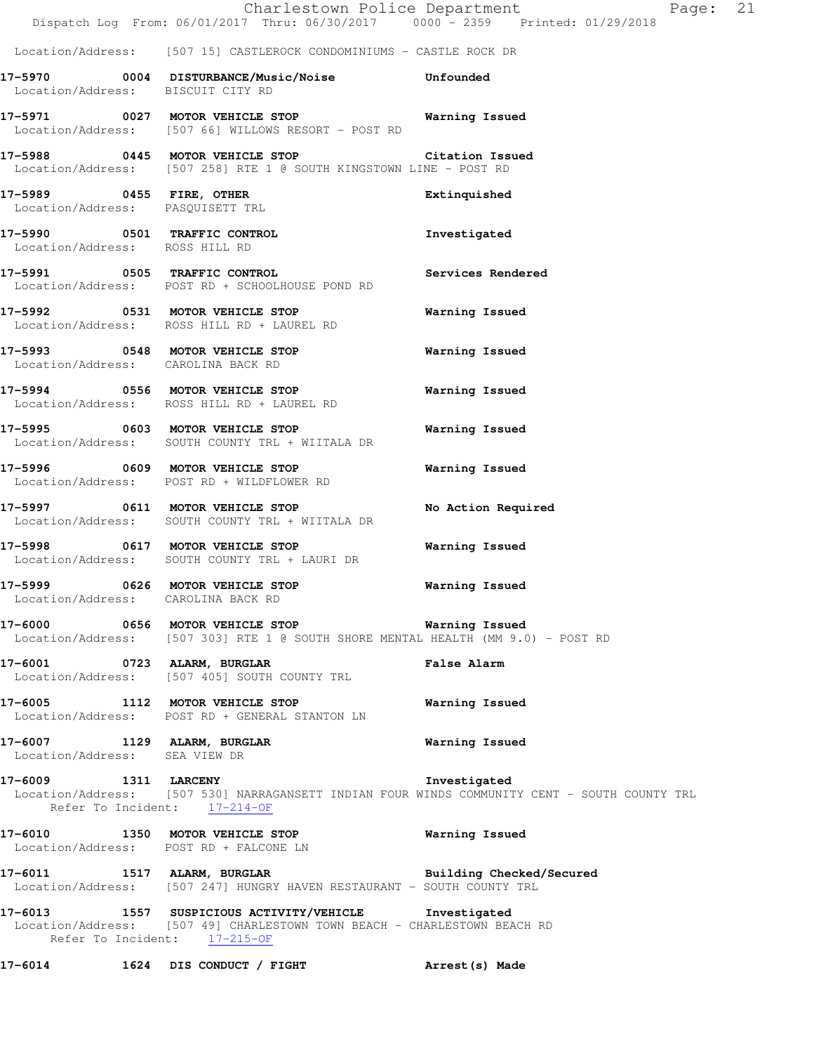|                                   | Dispatch Log From: 06/01/2017 Thru: 06/30/2017 0000 - 2359 Printed: 01/29/2018                                                                                    | Charlestown Police Department                                                                                | Page: 21 |
|-----------------------------------|-------------------------------------------------------------------------------------------------------------------------------------------------------------------|--------------------------------------------------------------------------------------------------------------|----------|
|                                   | Location/Address: [507 15] CASTLEROCK CONDOMINIUMS - CASTLE ROCK DR                                                                                               |                                                                                                              |          |
| Location/Address: BISCUIT CITY RD | 17-5970 0004 DISTURBANCE/Music/Noise Unfounded                                                                                                                    |                                                                                                              |          |
|                                   | 17-5971 0027 MOTOR VEHICLE STOP 6 Warning Issued<br>Location/Address: [507 66] WILLOWS RESORT - POST RD                                                           |                                                                                                              |          |
|                                   | 17-5988 0445 MOTOR VEHICLE STOP Citation Issued<br>Location/Address: [507 258] RTE 1 @ SOUTH KINGSTOWN LINE - POST RD                                             |                                                                                                              |          |
|                                   | 17-5989 0455 FIRE, OTHER<br>Location/Address: PASQUISETT TRL                                                                                                      | Extinquished                                                                                                 |          |
| Location/Address: ROSS HILL RD    | 17-5990 0501 TRAFFIC CONTROL                                                                                                                                      | Investigated                                                                                                 |          |
|                                   | 17-5991 0505 TRAFFIC CONTROL<br>Location/Address: POST RD + SCHOOLHOUSE POND RD                                                                                   | Services Rendered                                                                                            |          |
|                                   | 17-5992 0531 MOTOR VEHICLE STOP<br>Location/Address: ROSS HILL RD + LAUREL RD                                                                                     | Warning Issued                                                                                               |          |
|                                   | 17-5993 0548 MOTOR VEHICLE STOP<br>Location/Address: CAROLINA BACK RD                                                                                             | Warning Issued                                                                                               |          |
|                                   | 17-5994 0556 MOTOR VEHICLE STOP<br>Location/Address: ROSS HILL RD + LAUREL RD                                                                                     | <b>Warning Issued</b>                                                                                        |          |
|                                   | 17-5995 0603 MOTOR VEHICLE STOP<br>Location/Address: SOUTH COUNTY TRL + WIITALA DR                                                                                | Warning Issued                                                                                               |          |
|                                   | 17-5996 0609 MOTOR VEHICLE STOP<br>Location/Address: POST RD + WILDFLOWER RD                                                                                      | Warning Issued                                                                                               |          |
|                                   | 17-5997 0611 MOTOR VEHICLE STOP<br>Location/Address: SOUTH COUNTY TRL + WIITALA DR                                                                                | No Action Required                                                                                           |          |
|                                   | 17-5998 0617 MOTOR VEHICLE STOP<br>Location/Address: SOUTH COUNTY TRL + LAURI DR                                                                                  | Warning Issued                                                                                               |          |
| 17-5999                           | 0626 MOTOR VEHICLE STOP<br>Location/Address: CAROLINA BACK RD                                                                                                     | Warning Issued                                                                                               |          |
|                                   | 17-6000 0656 MOTOR VEHICLE STOP Warning Issued<br>Location/Address: [507 303] RTE 1 @ SOUTH SHORE MENTAL HEALTH (MM 9.0) - POST RD                                |                                                                                                              |          |
|                                   | 17-6001 0723 ALARM, BURGLAR<br>Location/Address: [507 405] SOUTH COUNTY TRL                                                                                       | <b>False Alarm</b>                                                                                           |          |
|                                   | 17-6005 1112 MOTOR VEHICLE STOP<br>Location/Address: POST RD + GENERAL STANTON LN                                                                                 | Warning Issued                                                                                               |          |
| Location/Address: SEA VIEW DR     | 17-6007 1129 ALARM, BURGLAR Narning Issued                                                                                                                        |                                                                                                              |          |
|                                   | 17-6009 1311 LARCENY<br>Refer To Incident: 17-214-OF                                                                                                              | Investigated<br>Location/Address: [507 530] NARRAGANSETT INDIAN FOUR WINDS COMMUNITY CENT - SOUTH COUNTY TRL |          |
|                                   | 17-6010 1350 MOTOR VEHICLE STOP 6010 Warning Issued<br>Location/Address: POST RD + FALCONE LN                                                                     |                                                                                                              |          |
|                                   | 17-6011 1517 ALARM, BURGLAR 2001 Building Checked/Secured<br>Location/Address: [507 247] HUNGRY HAVEN RESTAURANT - SOUTH COUNTY TRL                               |                                                                                                              |          |
|                                   | 17-6013 1557 SUSPICIOUS ACTIVITY/VEHICLE Investigated<br>Location/Address: [507 49] CHARLESTOWN TOWN BEACH - CHARLESTOWN BEACH RD<br>Refer To Incident: 17-215-OF |                                                                                                              |          |
|                                   | 17-6014 1624 DIS CONDUCT / FIGHT                                                                                                                                  | Arrest(s) Made                                                                                               |          |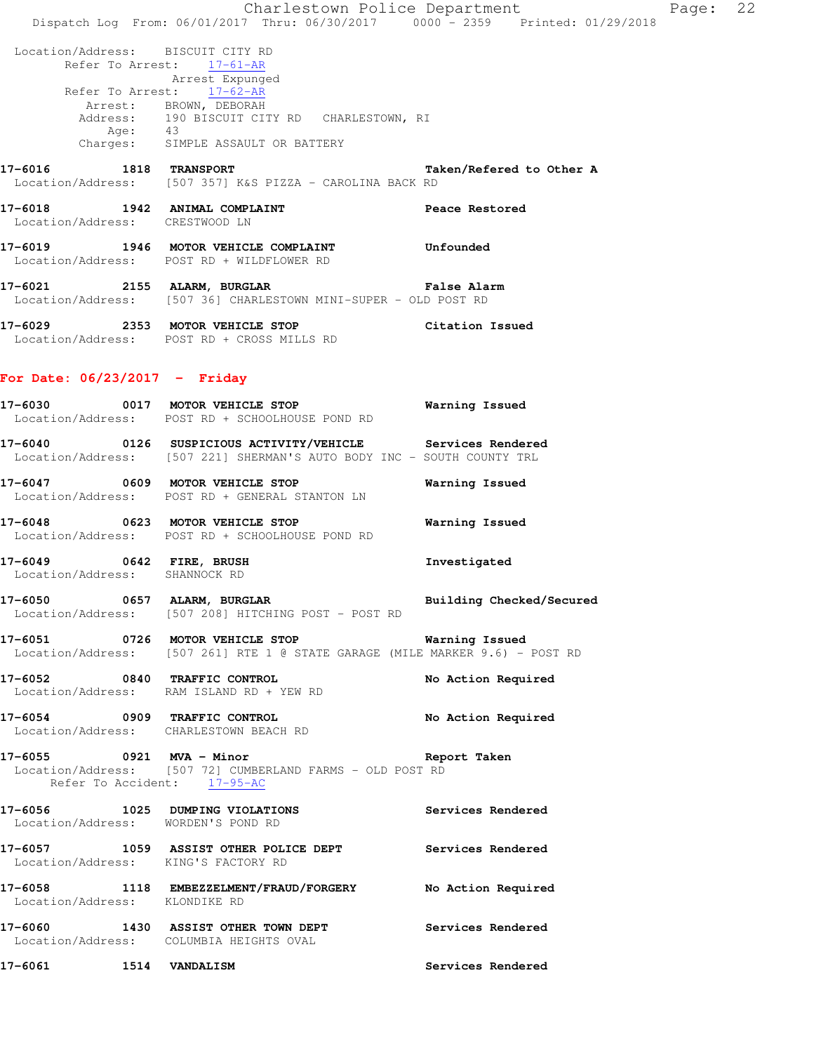Charlestown Police Department Page: 22 Dispatch Log From: 06/01/2017 Thru: 06/30/2017 0000 - 2359 Printed: 01/29/2018 Location/Address: BISCUIT CITY RD Refer To Arrest: 17-61-AR Arrest Expunged Refer To Arrest: 17-62-AR Arrest: BROWN, DEBORAH Address: 190 BISCUIT CITY RD CHARLESTOWN, RI Age: 43 Charges: SIMPLE ASSAULT OR BATTERY **17-6016 1818 TRANSPORT Taken/Refered to Other A**  Location/Address: [507 357] K&S PIZZA - CAROLINA BACK RD **17-6018 1942 ANIMAL COMPLAINT Peace Restored**  Location/Address: CRESTWOOD LN **17-6019 1946 MOTOR VEHICLE COMPLAINT Unfounded**  Location/Address: POST RD + WILDFLOWER RD **17-6021 2155 ALARM, BURGLAR False Alarm**  Location/Address: [507 36] CHARLESTOWN MINI-SUPER - OLD POST RD

**17-6029 2353 MOTOR VEHICLE STOP Citation Issued**  Location/Address: POST RD + CROSS MILLS RD

#### **For Date: 06/23/2017 - Friday**

- **17-6030 0017 MOTOR VEHICLE STOP Warning Issued**  Location/Address: POST RD + SCHOOLHOUSE POND RD
- **17-6040 0126 SUSPICIOUS ACTIVITY/VEHICLE Services Rendered**  Location/Address: [507 221] SHERMAN'S AUTO BODY INC - SOUTH COUNTY TRL
- **17-6047 0609 MOTOR VEHICLE STOP Warning Issued**  Location/Address: POST RD + GENERAL STANTON LN
- **17-6048 0623 MOTOR VEHICLE STOP Warning Issued**  Location/Address: POST RD + SCHOOLHOUSE POND RD
- **17-6049 0642 FIRE, BRUSH Investigated**  Location/Address: SHANNOCK RD
- **17-6050 0657 ALARM, BURGLAR Building Checked/Secured**  Location/Address: [507 208] HITCHING POST - POST RD
- **17-6051 0726 MOTOR VEHICLE STOP Warning Issued**  Location/Address: [507 261] RTE 1 @ STATE GARAGE (MILE MARKER 9.6) - POST RD
- **17-6052 0840 TRAFFIC CONTROL No Action Required**  Location/Address: RAM ISLAND RD + YEW RD
- **17-6054 0909 TRAFFIC CONTROL No Action Required**  Location/Address: CHARLESTOWN BEACH RD
- **17-6055 0921 MVA Minor Report Taken**  Location/Address: [507 72] CUMBERLAND FARMS - OLD POST RD Refer To Accident: 17-95-AC
- **17-6056 1025 DUMPING VIOLATIONS Services Rendered**  Location/Address: WORDEN'S POND RD **17-6057 1059 ASSIST OTHER POLICE DEPT Services Rendered**  Location/Address: KING'S FACTORY RD **17-6058 1118 EMBEZZELMENT/FRAUD/FORGERY No Action Required**  Location/Address: KLONDIKE RD **17-6060 1430 ASSIST OTHER TOWN DEPT Services Rendered**
- Location/Address: COLUMBIA HEIGHTS OVAL
- **17-6061 1514 VANDALISM Services Rendered**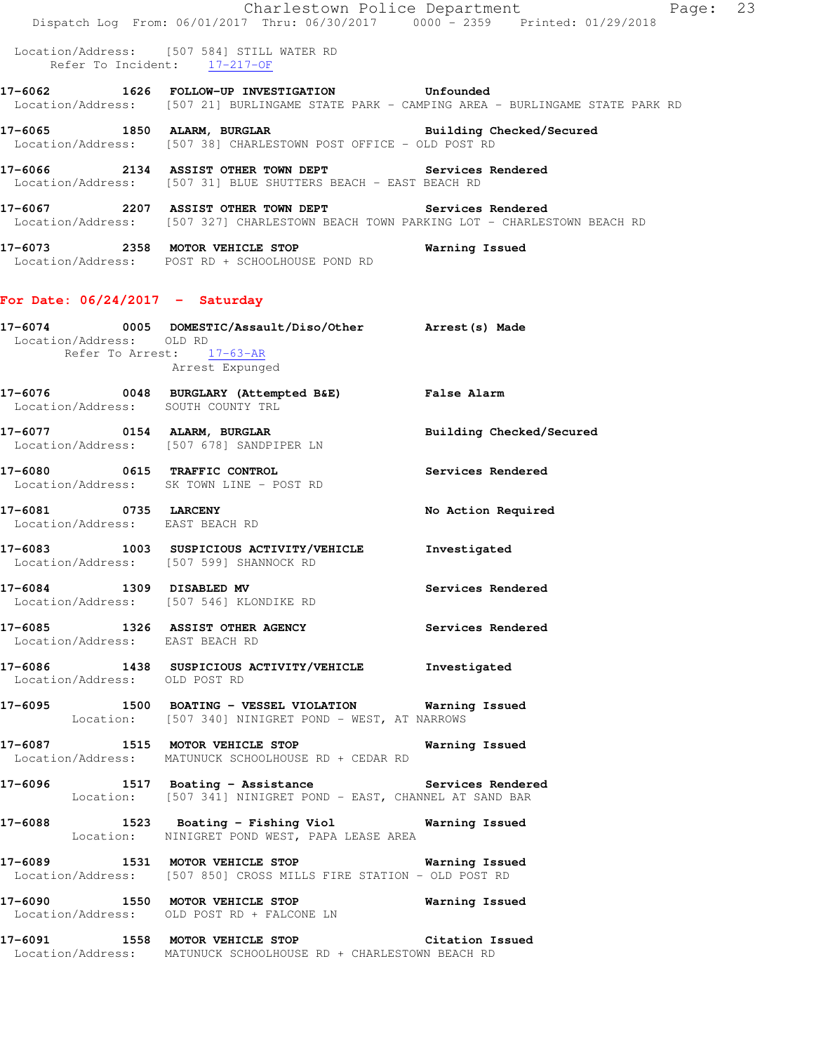|                                    | Dispatch Log From: 06/01/2017 Thru: 06/30/2017 0000 - 2359 Printed: 01/29/2018                                                                 | Page: 23<br>Charlestown Police Department                                                  |  |
|------------------------------------|------------------------------------------------------------------------------------------------------------------------------------------------|--------------------------------------------------------------------------------------------|--|
|                                    | Location/Address: [507 584] STILL WATER RD<br>Refer To Incident: 17-217-OF                                                                     |                                                                                            |  |
|                                    | 17-6062 1626 FOLLOW-UP INVESTIGATION Unfounded                                                                                                 | Location/Address: [507 21] BURLINGAME STATE PARK - CAMPING AREA - BURLINGAME STATE PARK RD |  |
|                                    | 17-6065 1850 ALARM, BURGLAR Building Checked/Secured<br>Location/Address: [507 38] CHARLESTOWN POST OFFICE - OLD POST RD                       |                                                                                            |  |
|                                    | 17-6066 2134 ASSIST OTHER TOWN DEPT Services Rendered<br>Location/Address: [507 31] BLUE SHUTTERS BEACH - EAST BEACH RD                        |                                                                                            |  |
|                                    | 17-6067 2207 ASSIST OTHER TOWN DEPT Services Rendered<br>Location/Address: [507 327] CHARLESTOWN BEACH TOWN PARKING LOT - CHARLESTOWN BEACH RD |                                                                                            |  |
|                                    | 17-6073 2358 MOTOR VEHICLE STOP<br>Location/Address: POST RD + SCHOOLHOUSE POND RD                                                             | Warning Issued                                                                             |  |
| For Date: $06/24/2017 -$ Saturday  |                                                                                                                                                |                                                                                            |  |
| Location/Address: OLD RD           | 17-6074 0005 DOMESTIC/Assault/Diso/Other Arrest(s) Made<br>Refer To Arrest: 17-63-AR<br>Arrest Expunged                                        |                                                                                            |  |
| Location/Address: SOUTH COUNTY TRL | 17-6076 0048 BURGLARY (Attempted B&E) False Alarm                                                                                              |                                                                                            |  |
|                                    | 17-6077 0154 ALARM, BURGLAR<br>Location/Address: [507 678] SANDPIPER LN                                                                        | Building Checked/Secured                                                                   |  |
|                                    | 17-6080 0615 TRAFFIC CONTROL<br>Location/Address: SK TOWN LINE - POST RD                                                                       | Services Rendered                                                                          |  |
| Location/Address: EAST BEACH RD    | 17-6081 0735 LARCENY                                                                                                                           | No Action Required                                                                         |  |
|                                    | 17-6083 1003 SUSPICIOUS ACTIVITY/VEHICLE Investigated<br>Location/Address: [507 599] SHANNOCK RD                                               |                                                                                            |  |
| 17-6084 1309 DISABLED MV           | Location/Address: [507 546] KLONDIKE RD                                                                                                        | Services Rendered                                                                          |  |
| Location/Address: EAST BEACH RD    | 17-6085 1326 ASSIST OTHER AGENCY Services Rendered                                                                                             |                                                                                            |  |
| Location/Address: OLD POST RD      | 17-6086 1438 SUSPICIOUS ACTIVITY/VEHICLE Investigated                                                                                          |                                                                                            |  |
|                                    | 17-6095 1500 BOATING - VESSEL VIOLATION Warning Issued<br>Location: [507 340] NINIGRET POND - WEST, AT NARROWS                                 |                                                                                            |  |
|                                    | 17-6087 1515 MOTOR VEHICLE STOP 6087 Warning Issued<br>Location/Address: MATUNUCK SCHOOLHOUSE RD + CEDAR RD                                    |                                                                                            |  |
|                                    | 17-6096 1517 Boating - Assistance Services Rendered<br>Location: [507 341] NINIGRET POND - EAST, CHANNEL AT SAND BAR                           |                                                                                            |  |
|                                    | 17-6088 1523 Boating - Fishing Viol Warning Issued<br>Location: NINIGRET POND WEST, PAPA LEASE AREA                                            |                                                                                            |  |
|                                    | 17-6089 1531 MOTOR VEHICLE STOP 60 Warning Issued<br>Location/Address: [507 850] CROSS MILLS FIRE STATION - OLD POST RD                        |                                                                                            |  |
|                                    | 17-6090 1550 MOTOR VEHICLE STOP 60 Warning Issued<br>Location/Address: OLD POST RD + FALCONE LN                                                |                                                                                            |  |
|                                    | 17-6091 1558 MOTOR VEHICLE STOP Citation Issued<br>Location/Address: MATUNUCK SCHOOLHOUSE RD + CHARLESTOWN BEACH RD                            |                                                                                            |  |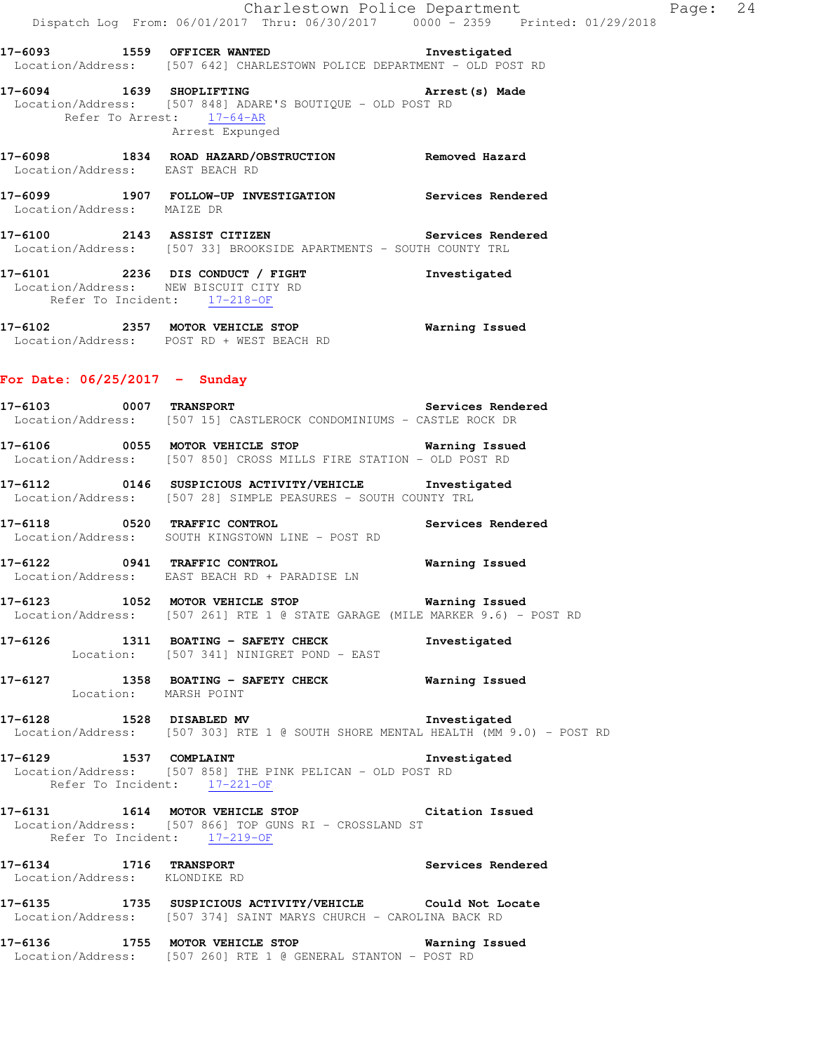**17-6093 1559 OFFICER WANTED Investigated**  Location/Address: [507 642] CHARLESTOWN POLICE DEPARTMENT - OLD POST RD

**17-6094 1639 SHOPLIFTING Arrest(s) Made**  Location/Address: [507 848] ADARE'S BOUTIQUE - OLD POST RD Refer To Arrest: 17-64-AR Arrest Expunged

**17-6098 1834 ROAD HAZARD/OBSTRUCTION Removed Hazard**  Location/Address: EAST BEACH RD

**17-6099 1907 FOLLOW-UP INVESTIGATION Services Rendered**  Location/Address: MAIZE DR

**17-6100 2143 ASSIST CITIZEN Services Rendered**  Location/Address: [507 33] BROOKSIDE APARTMENTS - SOUTH COUNTY TRL

**17-6101 2236 DIS CONDUCT / FIGHT Investigated**  Location/Address: NEW BISCUIT CITY RD Refer To Incident: 17-218-OF

**17-6102 2357 MOTOR VEHICLE STOP Warning Issued**  Location/Address: POST RD + WEST BEACH RD

### **For Date: 06/25/2017 - Sunday**

**17-6103 0007 TRANSPORT Services Rendered**  Location/Address: [507 15] CASTLEROCK CONDOMINIUMS - CASTLE ROCK DR

**17-6106 0055 MOTOR VEHICLE STOP Warning Issued**  Location/Address: [507 850] CROSS MILLS FIRE STATION - OLD POST RD

**17-6112 0146 SUSPICIOUS ACTIVITY/VEHICLE Investigated**  Location/Address: [507 28] SIMPLE PEASURES - SOUTH COUNTY TRL

**17-6118 0520 TRAFFIC CONTROL Services Rendered**  Location/Address: SOUTH KINGSTOWN LINE - POST RD

**17-6122 0941 TRAFFIC CONTROL Warning Issued**  Location/Address: EAST BEACH RD + PARADISE LN

**17-6123 1052 MOTOR VEHICLE STOP Warning Issued**  Location/Address: [507 261] RTE 1 @ STATE GARAGE (MILE MARKER 9.6) - POST RD

**17-6126 1311 BOATING - SAFETY CHECK Investigated**  Location: [507 341] NINIGRET POND - EAST

**17-6127 1358 BOATING - SAFETY CHECK Warning Issued**  Location: MARSH POINT

**17-6128 1528 DISABLED MV Investigated**  Location/Address: [507 303] RTE 1 @ SOUTH SHORE MENTAL HEALTH (MM 9.0) - POST RD

17-6129 1537 COMPLAINT 17-6129 Location/Address: [507 858] THE PINK PELICAN - OLD POST RD Refer To Incident: 17-221-OF

**17-6131 1614 MOTOR VEHICLE STOP Citation Issued**  Location/Address: [507 866] TOP GUNS RI - CROSSLAND ST Refer To Incident: 17-219-OF

**17-6134 1716 TRANSPORT Services Rendered**  Location/Address: KLONDIKE RD

**17-6135 1735 SUSPICIOUS ACTIVITY/VEHICLE Could Not Locate**  Location/Address: [507 374] SAINT MARYS CHURCH - CAROLINA BACK RD

**17-6136 1755 MOTOR VEHICLE STOP Warning Issued**  Location/Address: [507 260] RTE 1 @ GENERAL STANTON - POST RD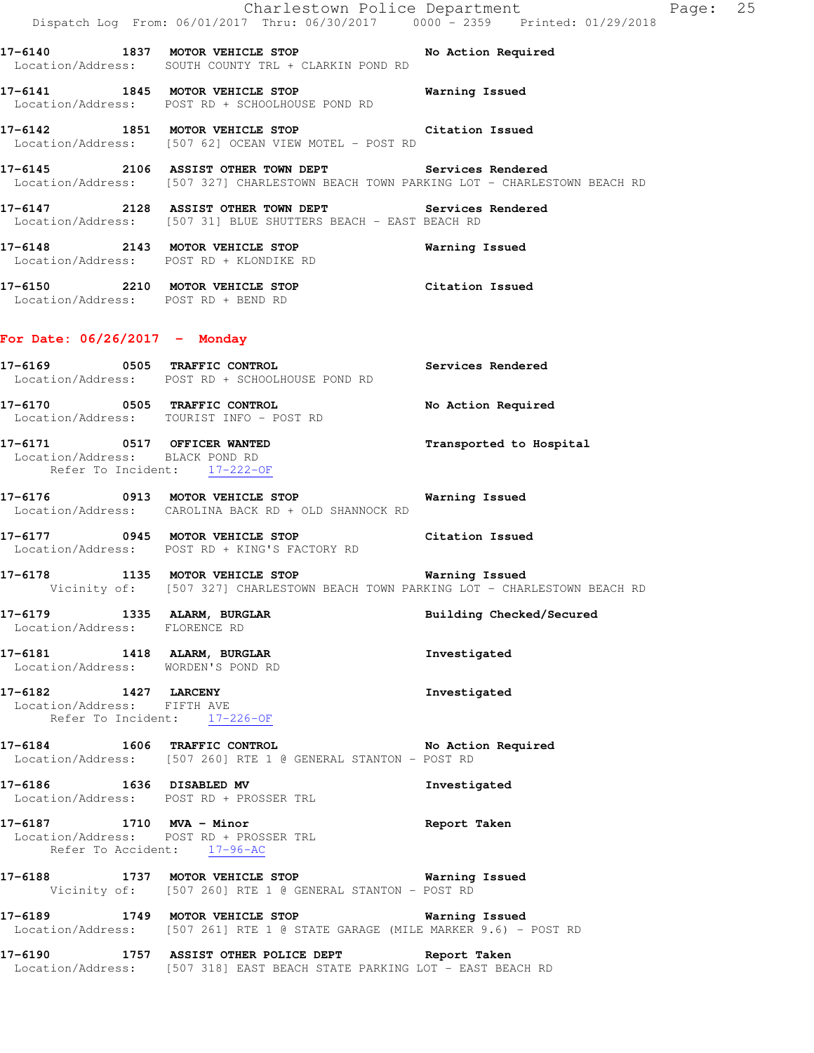Charlestown Police Department Fage: 25 Dispatch Log From: 06/01/2017 Thru: 06/30/2017 0000 - 2359 Printed: 01/29/2018 **17-6140 1837 MOTOR VEHICLE STOP No Action Required**  Location/Address: SOUTH COUNTY TRL + CLARKIN POND RD **17-6141 1845 MOTOR VEHICLE STOP Warning Issued**  Location/Address: POST RD + SCHOOLHOUSE POND RD **17-6142 1851 MOTOR VEHICLE STOP Citation Issued**  Location/Address: [507 62] OCEAN VIEW MOTEL - POST RD **17-6145 2106 ASSIST OTHER TOWN DEPT Services Rendered**  Location/Address: [507 327] CHARLESTOWN BEACH TOWN PARKING LOT - CHARLESTOWN BEACH RD **17-6147 2128 ASSIST OTHER TOWN DEPT Services Rendered**  Location/Address: [507 31] BLUE SHUTTERS BEACH - EAST BEACH RD **17-6148 2143 MOTOR VEHICLE STOP Warning Issued**  Location/Address: POST RD + KLONDIKE RD **17-6150 2210 MOTOR VEHICLE STOP Citation Issued**  Location/Address: POST RD + BEND RD **For Date: 06/26/2017 - Monday 17-6169 0505 TRAFFIC CONTROL Services Rendered**  Location/Address: POST RD + SCHOOLHOUSE POND RD **17-6170 0505 TRAFFIC CONTROL No Action Required**  Location/Address: TOURIST INFO - POST RD **17-6171 0517 OFFICER WANTED Transported to Hospital**  Location/Address: BLACK POND RD Refer To Incident: 17-222-OF **17-6176 0913 MOTOR VEHICLE STOP Warning Issued**  Location/Address: CAROLINA BACK RD + OLD SHANNOCK RD **17-6177 0945 MOTOR VEHICLE STOP Citation Issued**  Location/Address: POST RD + KING'S FACTORY RD **17-6178 1135 MOTOR VEHICLE STOP Warning Issued**  Vicinity of: [507 327] CHARLESTOWN BEACH TOWN PARKING LOT - CHARLESTOWN BEACH RD **17-6179 1335 ALARM, BURGLAR Building Checked/Secured**  Location/Address: FLORENCE RD **17-6181 1418 ALARM, BURGLAR Investigated**  Location/Address: WORDEN'S POND RD **17-6182 1427 LARCENY Investigated**  Location/Address: FIFTH AVE Refer To Incident: 17-226-OF **17-6184 1606 TRAFFIC CONTROL No Action Required**  Location/Address: [507 260] RTE 1 @ GENERAL STANTON - POST RD **17-6186 1636 DISABLED MV Investigated**  Location/Address: POST RD + PROSSER TRL **17-6187 1710 MVA - Minor Report Taken**  Location/Address: POST RD + PROSSER TRL Refer To Accident: 17-96-AC **17-6188 1737 MOTOR VEHICLE STOP Warning Issued**  Vicinity of: [507 260] RTE 1 @ GENERAL STANTON - POST RD **17-6189 1749 MOTOR VEHICLE STOP Warning Issued**  Location/Address: [507 261] RTE 1 @ STATE GARAGE (MILE MARKER 9.6) - POST RD **17-6190 1757 ASSIST OTHER POLICE DEPT Report Taken**  Location/Address: [507 318] EAST BEACH STATE PARKING LOT - EAST BEACH RD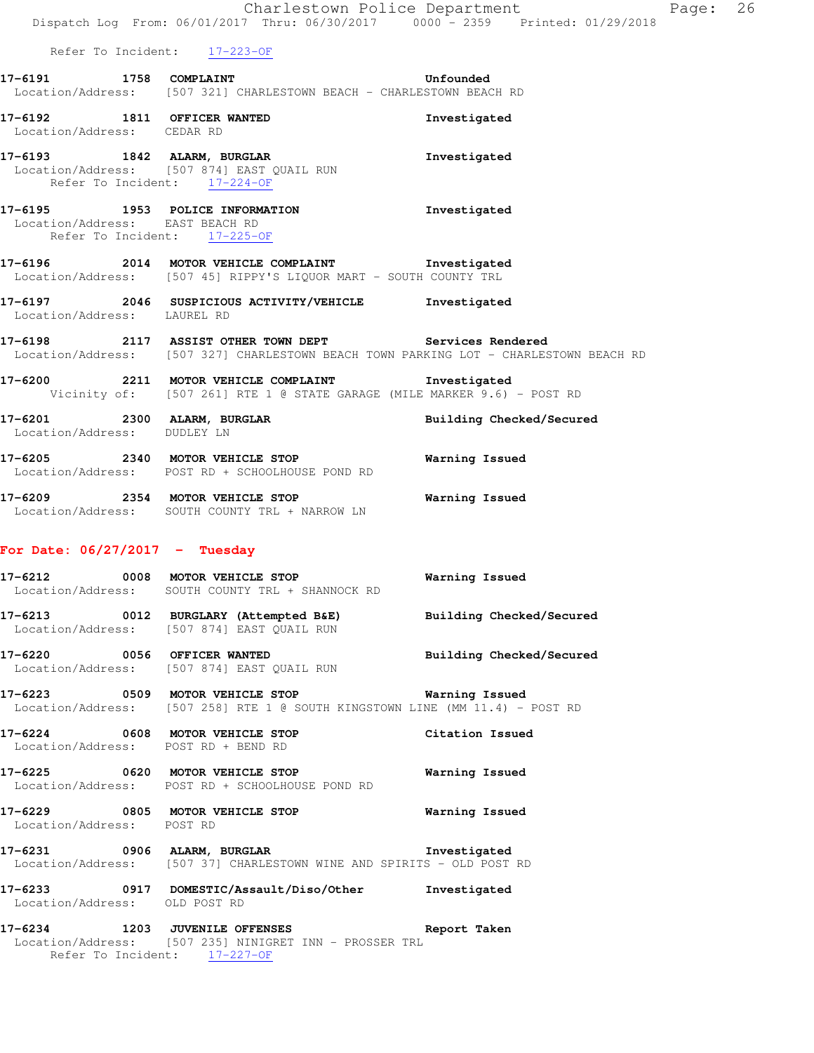## **17-6191 1758 COMPLAINT Unfounded**  Location/Address: [507 321] CHARLESTOWN BEACH - CHARLESTOWN BEACH RD

- **17-6192 1811 OFFICER WANTED Investigated**  Location/Address: CEDAR RD
- **17-6193 1842 ALARM, BURGLAR Investigated**  Location/Address: [507 874] EAST QUAIL RUN Refer To Incident: 17-224-OF

## **17-6195 1953 POLICE INFORMATION Investigated**  Location/Address: EAST BEACH RD Refer To Incident: 17-225-OF

## **17-6196 2014 MOTOR VEHICLE COMPLAINT Investigated**  Location/Address: [507 45] RIPPY'S LIQUOR MART - SOUTH COUNTY TRL

- **17-6197 2046 SUSPICIOUS ACTIVITY/VEHICLE Investigated**  Location/Address: LAUREL RD
- **17-6198 2117 ASSIST OTHER TOWN DEPT Services Rendered**  Location/Address: [507 327] CHARLESTOWN BEACH TOWN PARKING LOT - CHARLESTOWN BEACH RD
- **17-6200 2211 MOTOR VEHICLE COMPLAINT Investigated**  Vicinity of: [507 261] RTE 1 @ STATE GARAGE (MILE MARKER 9.6) - POST RD
- **17-6201 2300 ALARM, BURGLAR Building Checked/Secured**  Location/Address: DUDLEY LN
- **17-6205 2340 MOTOR VEHICLE STOP Warning Issued**  Location/Address: POST RD + SCHOOLHOUSE POND RD
- **17-6209 2354 MOTOR VEHICLE STOP Warning Issued**  Location/Address: SOUTH COUNTY TRL + NARROW LN

## **For Date: 06/27/2017 - Tuesday**

- **17-6212 0008 MOTOR VEHICLE STOP Warning Issued**  Location/Address: SOUTH COUNTY TRL + SHANNOCK RD
- **17-6213 0012 BURGLARY (Attempted B&E) Building Checked/Secured**  Location/Address: [507 874] EAST QUAIL RUN
- **17-6220 0056 OFFICER WANTED Building Checked/Secured**  Location/Address: [507 874] EAST QUAIL RUN
- **17-6223 0509 MOTOR VEHICLE STOP Warning Issued**  Location/Address: [507 258] RTE 1 @ SOUTH KINGSTOWN LINE (MM 11.4) - POST RD
- **17-6224 0608 MOTOR VEHICLE STOP Citation Issued**  Location/Address: POST RD + BEND RD
- **17-6225 0620 MOTOR VEHICLE STOP Warning Issued**  Location/Address: POST RD + SCHOOLHOUSE POND RD
- **17-6229 0805 MOTOR VEHICLE STOP Warning Issued**  Location/Address: POST RD
- **17-6231 0906 ALARM, BURGLAR Investigated**  Location/Address: [507 37] CHARLESTOWN WINE AND SPIRITS - OLD POST RD
- **17-6233 0917 DOMESTIC/Assault/Diso/Other Investigated**  Location/Address: OLD POST RD
- **17-6234 1203 JUVENILE OFFENSES Report Taken**  Location/Address: [507 235] NINIGRET INN - PROSSER TRL Refer To Incident: 17-227-OF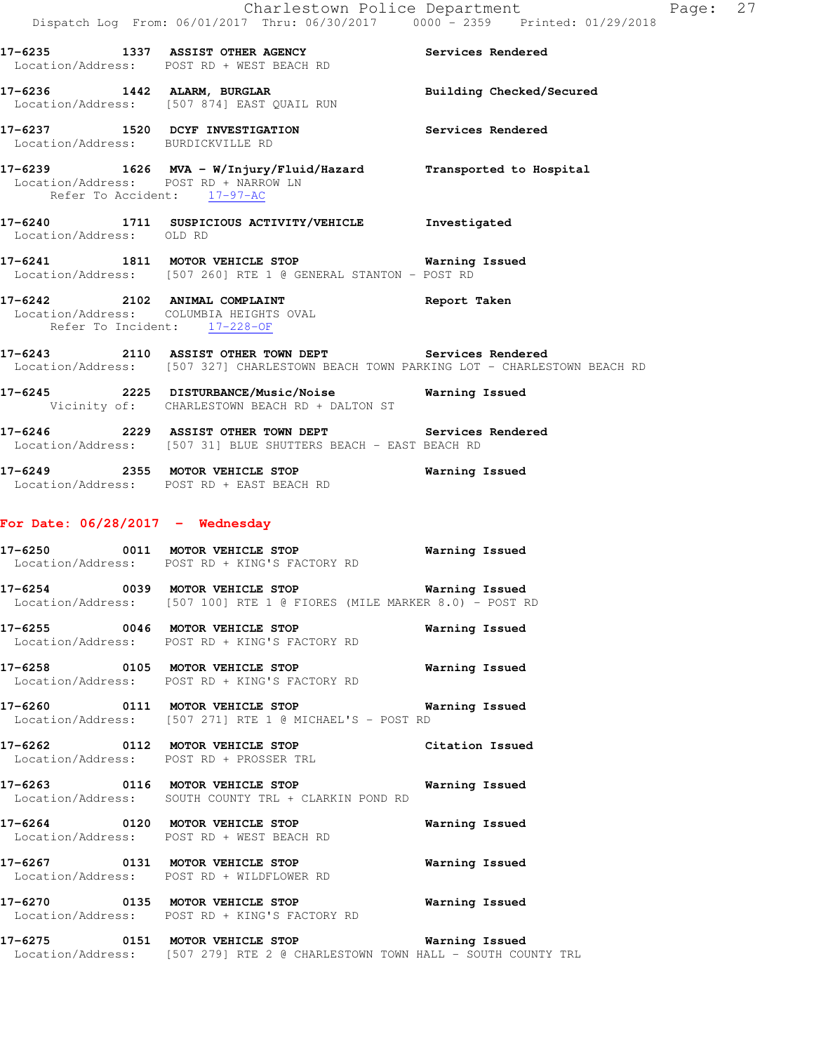| $\mathbb{R}^n$                                                       | Dispatch Log From: 06/01/2017 Thru: 06/30/2017 0000 - 2359 Printed: 01/29/2018                                                                 | Charlestown Police Department | Page: 27 |
|----------------------------------------------------------------------|------------------------------------------------------------------------------------------------------------------------------------------------|-------------------------------|----------|
|                                                                      | 17-6235 1337 ASSIST OTHER AGENCY Services Rendered<br>Location/Address: POST RD + WEST BEACH RD                                                |                               |          |
|                                                                      | 17-6236 1442 ALARM, BURGLAR<br>Location/Address: [507 874] EAST QUAIL RUN                                                                      | Building Checked/Secured      |          |
| Location/Address: BURDICKVILLE RD                                    | 17-6237 1520 DCYF INVESTIGATION                                                                                                                | Services Rendered             |          |
| Location/Address: POST RD + NARROW LN<br>Refer To Accident: 17-97-AC | 17-6239 1626 MVA - W/Injury/Fluid/Hazard Transported to Hospital                                                                               |                               |          |
| Location/Address: OLD RD                                             | 17-6240 1711 SUSPICIOUS ACTIVITY/VEHICLE Investigated                                                                                          |                               |          |
|                                                                      | 17-6241 1811 MOTOR VEHICLE STOP Warning Issued<br>Location/Address: [507 260] RTE 1 @ GENERAL STANTON - POST RD                                |                               |          |
| Refer To Incident: 17-228-OF                                         | 17-6242 2102 ANIMAL COMPLAINT Report Taken<br>Location/Address: COLUMBIA HEIGHTS OVAL                                                          |                               |          |
|                                                                      | 17-6243 2110 ASSIST OTHER TOWN DEPT Services Rendered<br>Location/Address: [507 327] CHARLESTOWN BEACH TOWN PARKING LOT - CHARLESTOWN BEACH RD |                               |          |
|                                                                      | 17-6245 2225 DISTURBANCE/Music/Noise Warning Issued<br>Vicinity of: CHARLESTOWN BEACH RD + DALTON ST                                           |                               |          |
|                                                                      | 17-6246 2229 ASSIST OTHER TOWN DEPT Services Rendered<br>Location/Address: [507 31] BLUE SHUTTERS BEACH - EAST BEACH RD                        |                               |          |
|                                                                      | 17-6249 2355 MOTOR VEHICLE STOP<br>Location/Address: POST RD + EAST BEACH RD                                                                   | Warning Issued                |          |
| For Date: $06/28/2017 -$ Wednesday                                   |                                                                                                                                                |                               |          |
|                                                                      | 17-6250 0011 MOTOR VEHICLE STOP<br>Location/Address: POST RD + KING'S FACTORY RD                                                               | Warning Issued                |          |
| 17-6254 0039 MOTOR VEHICLE STOP                                      | Location/Address: [507 100] RTE 1 @ FIORES (MILE MARKER 8.0) - POST RD                                                                         | Warning Issued                |          |
|                                                                      | 17-6255 0046 MOTOR VEHICLE STOP<br>Location/Address: POST RD + KING'S FACTORY RD                                                               | Warning Issued                |          |
|                                                                      | 17-6258 0105 MOTOR VEHICLE STOP<br>Location/Address: POST RD + KING'S FACTORY RD                                                               | Warning Issued                |          |
|                                                                      | 17-6260 0111 MOTOR VEHICLE STOP <b>Warning Issued</b><br>Location/Address: [507 271] RTE 1 @ MICHAEL'S - POST RD                               |                               |          |
|                                                                      | 17-6262 0112 MOTOR VEHICLE STOP<br>Location/Address: POST RD + PROSSER TRL                                                                     | Citation Issued               |          |
|                                                                      | 17-6263 0116 MOTOR VEHICLE STOP<br>Location/Address: SOUTH COUNTY TRL + CLARKIN POND RD                                                        | Warning Issued                |          |
|                                                                      | 17-6264 0120 MOTOR VEHICLE STOP<br>Location/Address: POST RD + WEST BEACH RD                                                                   | Warning Issued                |          |
|                                                                      | 17-6267 0131 MOTOR VEHICLE STOP<br>Location/Address: POST RD + WILDFLOWER RD                                                                   | Warning Issued                |          |
|                                                                      | 17-6270 0135 MOTOR VEHICLE STOP<br>Location/Address: POST RD + KING'S FACTORY RD                                                               | Warning Issued                |          |
| 17-6275 0151 MOTOR VEHICLE STOP                                      |                                                                                                                                                | <b>Warning Issued</b>         |          |

Location/Address: [507 279] RTE 2 @ CHARLESTOWN TOWN HALL - SOUTH COUNTY TRL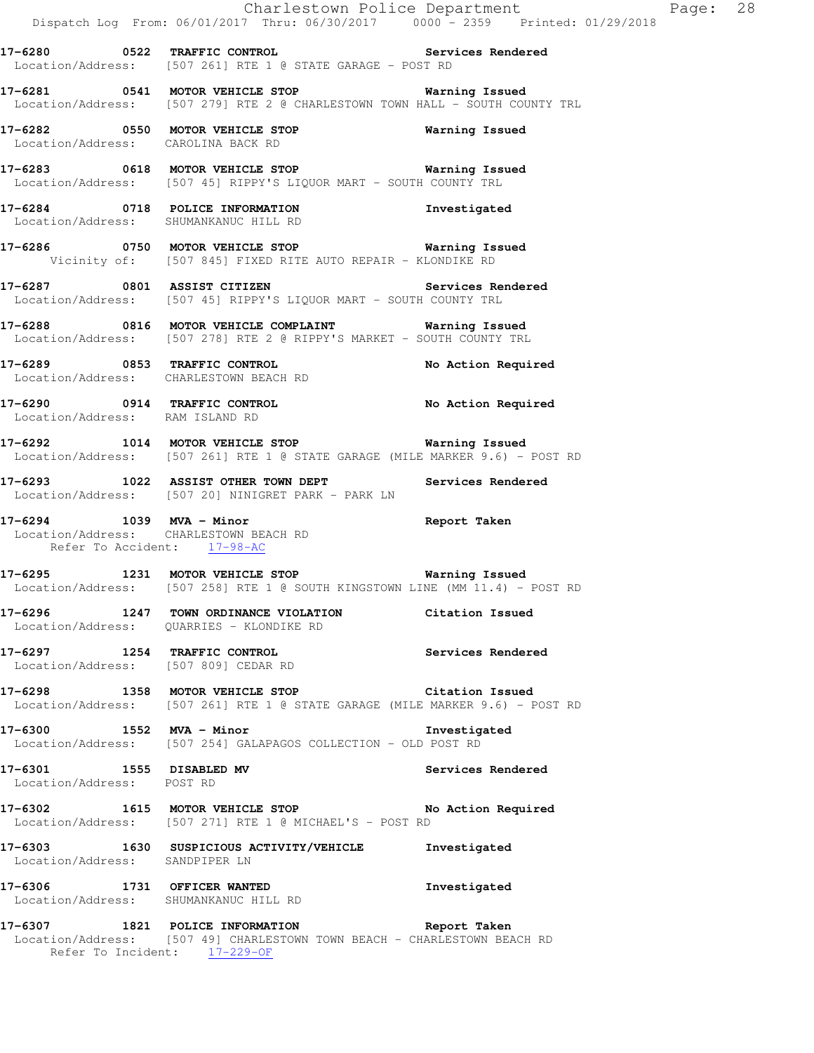|                                                       | Dispatch Log From: 06/01/2017 Thru: 06/30/2017 0000 - 2359 Printed: 01/29/2018                                                                           | Charlestown Police Department Page: 28 |  |
|-------------------------------------------------------|----------------------------------------------------------------------------------------------------------------------------------------------------------|----------------------------------------|--|
|                                                       | 17-6280 		 0522 TRAFFIC CONTROL 			 Services Rendered<br>Location/Address: [507 261] RTE 1 @ STATE GARAGE - POST RD                                      |                                        |  |
|                                                       | 17-6281 0541 MOTOR VEHICLE STOP 6281 Warning Issued<br>Location/Address: [507 279] RTE 2 @ CHARLESTOWN TOWN HALL - SOUTH COUNTY TRL                      |                                        |  |
| Location/Address: CAROLINA BACK RD                    | 17-6282 0550 MOTOR VEHICLE STOP 6282 Warning Issued                                                                                                      |                                        |  |
|                                                       | 17-6283 0618 MOTOR VEHICLE STOP 6283 Warning Issued<br>Location/Address: [507 45] RIPPY'S LIQUOR MART - SOUTH COUNTY TRL                                 |                                        |  |
|                                                       | 17-6284 0718 POLICE INFORMATION<br>Location/Address: SHUMANKANUC HILL RD                                                                                 | Investigated                           |  |
|                                                       | 17-6286 0750 MOTOR VEHICLE STOP 6286 Warning Issued<br>Vicinity of: [507 845] FIXED RITE AUTO REPAIR - KLONDIKE RD                                       |                                        |  |
|                                                       | 17-6287 0801 ASSIST CITIZEN Services Rendered<br>Location/Address: [507 45] RIPPY'S LIQUOR MART - SOUTH COUNTY TRL                                       |                                        |  |
|                                                       | 17-6288 0816 MOTOR VEHICLE COMPLAINT Warning Issued<br>Location/Address: [507 278] RTE 2 @ RIPPY'S MARKET - SOUTH COUNTY TRL                             |                                        |  |
|                                                       | 17-6289 0853 TRAFFIC CONTROL<br>Location/Address: CHARLESTOWN BEACH RD                                                                                   | No Action Required                     |  |
| Location/Address: RAM ISLAND RD                       | 17-6290 0914 TRAFFIC CONTROL No Action Required                                                                                                          |                                        |  |
|                                                       | 17-6292 1014 MOTOR VEHICLE STOP 6292 Warning Issued<br>Location/Address: [507 261] RTE 1 @ STATE GARAGE (MILE MARKER 9.6) - POST RD                      |                                        |  |
|                                                       | 17-6293 1022 ASSIST OTHER TOWN DEPT Services Rendered<br>Location/Address: [507 20] NINIGRET PARK - PARK LN                                              |                                        |  |
| Refer To Accident: 17-98-AC                           | 17-6294 1039 MVA - Minor<br>Location/Address: CHARLESTOWN BEACH RD                                                                                       | Report Taken                           |  |
|                                                       | 17-6295 1231 MOTOR VEHICLE STOP <b>Warning Issued</b><br>Location/Address: [507 258] RTE 1 @ SOUTH KINGSTOWN LINE (MM 11.4) - POST RD                    |                                        |  |
|                                                       | 17-6296 1247 TOWN ORDINANCE VIOLATION Citation Issued<br>Location/Address: QUARRIES - KLONDIKE RD                                                        |                                        |  |
| Location/Address: [507 809] CEDAR RD                  | 17-6297 1254 TRAFFIC CONTROL                                                                                                                             | Services Rendered                      |  |
|                                                       | 17-6298 1358 MOTOR VEHICLE STOP Citation Issued<br>Location/Address: [507 261] RTE 1 @ STATE GARAGE (MILE MARKER 9.6) - POST RD                          |                                        |  |
|                                                       | 17-6300 1552 MVA - Minor<br>Location/Address: [507 254] GALAPAGOS COLLECTION - OLD POST RD                                                               | Investigated                           |  |
| 17-6301 1555 DISABLED MV<br>Location/Address: POST RD |                                                                                                                                                          | Services Rendered                      |  |
|                                                       | 17-6302 1615 MOTOR VEHICLE STOP No Action Required<br>Location/Address: [507 271] RTE 1 @ MICHAEL'S - POST RD                                            |                                        |  |
| Location/Address: SANDPIPER LN                        | 17-6303 1630 SUSPICIOUS ACTIVITY/VEHICLE Investigated                                                                                                    |                                        |  |
| Location/Address: SHUMANKANUC HILL RD                 | 17-6306 1731 OFFICER WANTED                                                                                                                              | Investigated                           |  |
|                                                       | 17-6307 1821 POLICE INFORMATION Report Taken<br>Location/Address: [507 49] CHARLESTOWN TOWN BEACH - CHARLESTOWN BEACH RD<br>Refer To Incident: 17-229-OF |                                        |  |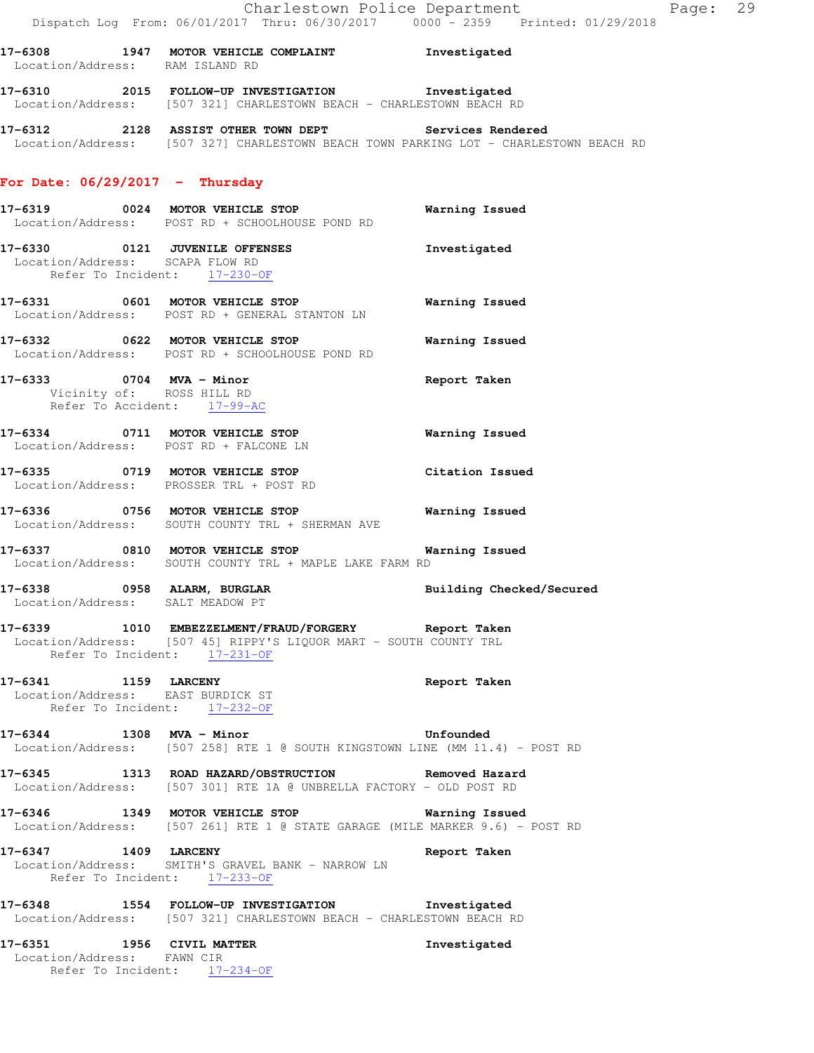- **17-6308 1947 MOTOR VEHICLE COMPLAINT Investigated**  Location/Address: RAM ISLAND RD
- **17-6310 2015 FOLLOW-UP INVESTIGATION Investigated**  Location/Address: [507 321] CHARLESTOWN BEACH - CHARLESTOWN BEACH RD
- **17-6312 2128 ASSIST OTHER TOWN DEPT Services Rendered**  Location/Address: [507 327] CHARLESTOWN BEACH TOWN PARKING LOT - CHARLESTOWN BEACH RD

## **For Date: 06/29/2017 - Thursday**

- **17-6319 0024 MOTOR VEHICLE STOP Warning Issued**  Location/Address: POST RD + SCHOOLHOUSE POND RD **17-6330 0121 JUVENILE OFFENSES Investigated**  Location/Address: SCAPA FLOW RD Refer To Incident: 17-230-OF **17-6331 0601 MOTOR VEHICLE STOP Warning Issued**  Location/Address: POST RD + GENERAL STANTON LN **17-6332 0622 MOTOR VEHICLE STOP Warning Issued**  Location/Address: POST RD + SCHOOLHOUSE POND RD **17-6333 0704 MVA - Minor Report Taken**  Vicinity of: ROSS HILL RD Refer To Accident: 17-99-AC **17-6334 0711 MOTOR VEHICLE STOP Warning Issued**  Location/Address: POST RD + FALCONE LN **17-6335 0719 MOTOR VEHICLE STOP Citation Issued**  Location/Address: PROSSER TRL + POST RD **17-6336 0756 MOTOR VEHICLE STOP Warning Issued**  Location/Address: SOUTH COUNTY TRL + SHERMAN AVE **17-6337 0810 MOTOR VEHICLE STOP Warning Issued**  Location/Address: SOUTH COUNTY TRL + MAPLE LAKE FARM RD **17-6338 0958 ALARM, BURGLAR Building Checked/Secured**  Location/Address: SALT MEADOW PT **17-6339 1010 EMBEZZELMENT/FRAUD/FORGERY Report Taken**  Location/Address: [507 45] RIPPY'S LIQUOR MART - SOUTH COUNTY TRL Refer To Incident: 17-231-OF **17-6341 1159 LARCENY Report Taken**  Location/Address: EAST BURDICK ST Refer To Incident: 17-232-OF **17-6344 1308 MVA - Minor Unfounded**  Location/Address: [507 258] RTE 1 @ SOUTH KINGSTOWN LINE (MM 11.4) - POST RD **17-6345 1313 ROAD HAZARD/OBSTRUCTION Removed Hazard**  Location/Address: [507 301] RTE 1A @ UNBRELLA FACTORY - OLD POST RD **17-6346 1349 MOTOR VEHICLE STOP Warning Issued**  Location/Address: [507 261] RTE 1 @ STATE GARAGE (MILE MARKER 9.6) - POST RD **17-6347 1409 LARCENY Report Taken**  Location/Address: SMITH'S GRAVEL BANK - NARROW LN
- **17-6348 1554 FOLLOW-UP INVESTIGATION Investigated**  Location/Address: [507 321] CHARLESTOWN BEACH - CHARLESTOWN BEACH RD
- **17-6351 1956 CIVIL MATTER Investigated**  Location/Address: FAWN CIR Refer To Incident: 17-234-OF

Refer To Incident: 17-233-OF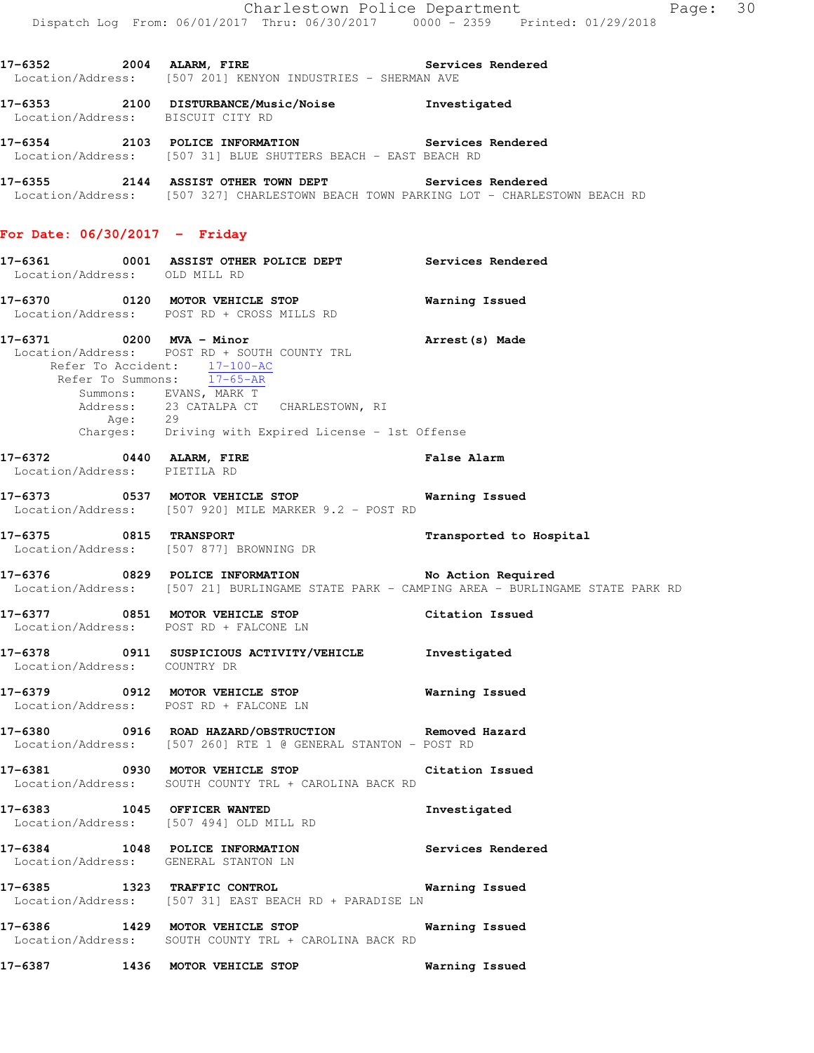$Page: 30$ 

|                                                                                                     | Charlestown Police Department<br>Dispatch Log From: 06/01/2017 Thru: 06/30/2017 0000 - 2359 Printed: 01/29/2018                                                                    | Р.                                                                                                                                                                   |
|-----------------------------------------------------------------------------------------------------|------------------------------------------------------------------------------------------------------------------------------------------------------------------------------------|----------------------------------------------------------------------------------------------------------------------------------------------------------------------|
|                                                                                                     | 17-6352 2004 ALARM, FIRE 2008 Services Rendered<br>Location/Address: [507 201] KENYON INDUSTRIES - SHERMAN AVE                                                                     |                                                                                                                                                                      |
| Location/Address: BISCUIT CITY RD                                                                   | 17-6353 2100 DISTURBANCE/Music/Noise Investigated                                                                                                                                  |                                                                                                                                                                      |
|                                                                                                     | 17-6354 2103 POLICE INFORMATION<br>Location/Address: [507 31] BLUE SHUTTERS BEACH - EAST BEACH RD                                                                                  | Services Rendered                                                                                                                                                    |
|                                                                                                     | 17-6355 2144 ASSIST OTHER TOWN DEPT Services Rendered<br>Location/Address: [507 327] CHARLESTOWN BEACH TOWN PARKING LOT - CHARLESTOWN BEACH RD                                     |                                                                                                                                                                      |
| For Date: $06/30/2017 -$ Friday                                                                     |                                                                                                                                                                                    |                                                                                                                                                                      |
| Location/Address: OLD MILL RD                                                                       | 17-6361 0001 ASSIST OTHER POLICE DEPT Services Rendered                                                                                                                            |                                                                                                                                                                      |
|                                                                                                     | 17-6370 0120 MOTOR VEHICLE STOP<br>Location/Address: POST RD + CROSS MILLS RD                                                                                                      | <b>Warning Issued</b>                                                                                                                                                |
| 17-6371 0200 MVA - Minor<br>Refer To Accident: 17-100-AC<br>Refer To Summons: $\overline{17-65-AR}$ | Location/Address: POST RD + SOUTH COUNTY TRL<br>Summons: EVANS, MARK T<br>Address: 23 CATALPA CT CHARLESTOWN, RI<br>Age: 29<br>Charges: Driving with Expired License - 1st Offense | Arrest(s) Made                                                                                                                                                       |
| 17-6372 0440 ALARM, FIRE<br>Location/Address: PIETILA RD                                            |                                                                                                                                                                                    | <b>False Alarm</b>                                                                                                                                                   |
|                                                                                                     | 17-6373 0537 MOTOR VEHICLE STOP <b>Warning Issued</b><br>Location/Address: [507 920] MILE MARKER 9.2 - POST RD                                                                     |                                                                                                                                                                      |
|                                                                                                     | 17-6375 0815 TRANSPORT<br>Location/Address: [507-877] BROWNING DR                                                                                                                  | Transported to Hospital                                                                                                                                              |
|                                                                                                     |                                                                                                                                                                                    | 17-6376       0829   POLICE INFORMATION           No Action Required<br>Location/Address:   [507 21] BURLINGAME STATE PARK - CAMPING AREA - BURLINGAME STATE PARK RD |
| Location/Address: POST RD + FALCONE LN                                                              | 17-6377 0851 MOTOR VEHICLE STOP Citation Issued                                                                                                                                    |                                                                                                                                                                      |
| Location/Address: COUNTRY DR                                                                        | 17-6378 0911 SUSPICIOUS ACTIVITY/VEHICLE Investigated                                                                                                                              |                                                                                                                                                                      |

- **17-6379 0912 MOTOR VEHICLE STOP Warning Issued**  Location/Address: POST RD + FALCONE LN
- **17-6380 0916 ROAD HAZARD/OBSTRUCTION Removed Hazard**  Location/Address: [507 260] RTE 1 @ GENERAL STANTON - POST RD
- **17-6381 0930 MOTOR VEHICLE STOP Citation Issued**  Location/Address: SOUTH COUNTY TRL + CAROLINA BACK RD
- **17-6383 1045 OFFICER WANTED Investigated**  Location/Address: [507 494] OLD MILL RD
- **17-6384 1048 POLICE INFORMATION Services Rendered**  Location/Address: GENERAL STANTON LN
- **17-6385 1323 TRAFFIC CONTROL Warning Issued**  Location/Address: [507 31] EAST BEACH RD + PARADISE LN
- **17-6386 1429 MOTOR VEHICLE STOP Warning Issued**  Location/Address: SOUTH COUNTY TRL + CAROLINA BACK RD
- **17-6387 1436 MOTOR VEHICLE STOP Warning Issued**